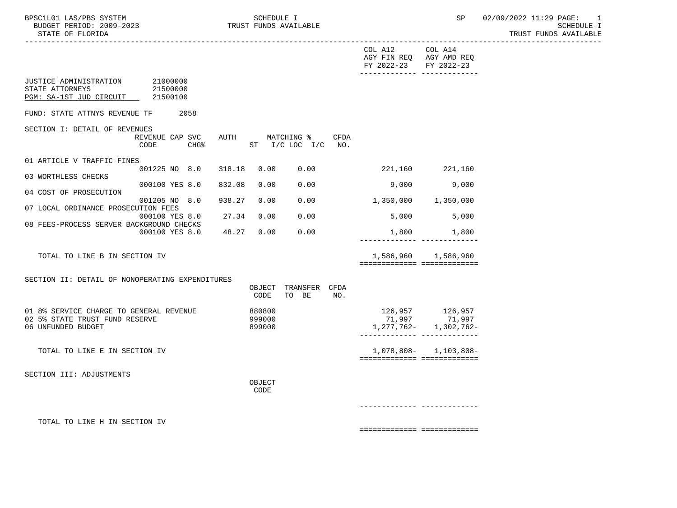|                                                                                                 |                                             |        |                            |                                  |      | COL A12 COL A14<br>AGY FIN REQ AGY AMD REQ<br>FY 2022-23 FY 2022-23<br>-------------- -------------- |                                                                   |
|-------------------------------------------------------------------------------------------------|---------------------------------------------|--------|----------------------------|----------------------------------|------|------------------------------------------------------------------------------------------------------|-------------------------------------------------------------------|
| JUSTICE ADMINISTRATION 21000000<br>STATE ATTORNEYS<br>PGM: SA-1ST JUD CIRCUIT 21500100          | 21500000                                    |        |                            |                                  |      |                                                                                                      |                                                                   |
| FUND: STATE ATTNYS REVENUE TF                                                                   | 2058                                        |        |                            |                                  |      |                                                                                                      |                                                                   |
| SECTION I: DETAIL OF REVENUES                                                                   | REVENUE CAP SVC<br>CHG <sup>8</sup><br>CODE | AUTH   |                            | MATCHING %<br>ST I/C LOC I/C NO. | CFDA |                                                                                                      |                                                                   |
| 01 ARTICLE V TRAFFIC FINES                                                                      |                                             |        |                            |                                  |      |                                                                                                      |                                                                   |
| 03 WORTHLESS CHECKS                                                                             | 001225 NO 8.0 318.18                        |        |                            | 0.00 0.00                        |      | 221,160 221,160                                                                                      |                                                                   |
| 04 COST OF PROSECUTION                                                                          | 000100 YES 8.0                              | 832.08 | 0.00                       | 0.00                             |      | 9,000                                                                                                | 9,000                                                             |
|                                                                                                 | 001205 NO 8.0                               | 938.27 | 0.00                       | 0.00                             |      | 1,350,000 1,350,000                                                                                  |                                                                   |
| 07 LOCAL ORDINANCE PROSECUTION FEES                                                             | 000100 YES 8.0                              | 27.34  | 0.00                       | 0.00                             |      |                                                                                                      | 5,000 5,000                                                       |
| 08 FEES-PROCESS SERVER BACKGROUND CHECKS                                                        | 000100 YES 8.0 48.27 0.00                   |        |                            | 0.00                             |      | 1,800                                                                                                | 1,800                                                             |
|                                                                                                 |                                             |        |                            |                                  |      |                                                                                                      |                                                                   |
| TOTAL TO LINE B IN SECTION IV                                                                   |                                             |        |                            |                                  |      | ===========================                                                                          | 1,586,960 1,586,960                                               |
|                                                                                                 |                                             |        |                            |                                  |      |                                                                                                      |                                                                   |
| SECTION II: DETAIL OF NONOPERATING EXPENDITURES                                                 |                                             |        | CODE                       | OBJECT TRANSFER CFDA<br>TO BE    | NO.  |                                                                                                      |                                                                   |
| 01 8% SERVICE CHARGE TO GENERAL REVENUE<br>02 5% STATE TRUST FUND RESERVE<br>06 UNFUNDED BUDGET |                                             |        | 880800<br>999000<br>899000 |                                  |      | _________________________________                                                                    | 126,957 126,957<br>71,997 71,997<br>$1, 277, 762 - 1, 302, 762 -$ |
| TOTAL TO LINE E IN SECTION IV                                                                   |                                             |        |                            |                                  |      | ===========================                                                                          | $1,078,808 - 1,103,808 -$                                         |
| SECTION III: ADJUSTMENTS                                                                        |                                             |        |                            |                                  |      |                                                                                                      |                                                                   |
|                                                                                                 |                                             |        | OBJECT<br>CODE             |                                  |      |                                                                                                      |                                                                   |
|                                                                                                 |                                             |        |                            |                                  |      |                                                                                                      |                                                                   |
| TOTAL TO LINE H IN SECTION IV                                                                   |                                             |        |                            |                                  |      |                                                                                                      |                                                                   |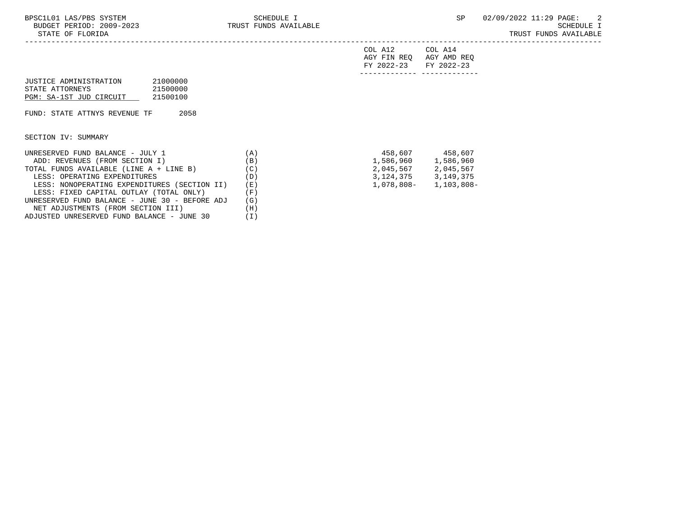-----------------------------------------------------------------------------------------------------------------------------------

| FY 2022-23 FY 2022-23   |         |
|-------------------------|---------|
| AGY FIN REQ AGY AMD REQ |         |
| COL A12                 | COL A14 |

| JUSTICE ADMINISTRATION  | 21000000 |
|-------------------------|----------|
| STATE ATTORNEYS         | 21500000 |
| PGM: SA-1ST JUD CIRCUIT | 21500100 |

FUND: STATE ATTNYS REVENUE TF 2058

SECTION IV: SUMMARY

| UNRESERVED FUND BALANCE - JULY 1               | A            | 458,607     | 458,607     |
|------------------------------------------------|--------------|-------------|-------------|
| ADD: REVENUES (FROM SECTION I)                 | (B)          | 1,586,960   | 1,586,960   |
| TOTAL FUNDS AVAILABLE (LINE A + LINE B)        | (C)          | 2,045,567   | 2,045,567   |
| LESS: OPERATING EXPENDITURES                   | (D)          | 3, 124, 375 | 3, 149, 375 |
| LESS: NONOPERATING EXPENDITURES (SECTION II)   | (E)          | 1,078,808-  | 1,103,808-  |
| LESS: FIXED CAPITAL OUTLAY (TOTAL ONLY)        | . F )        |             |             |
| UNRESERVED FUND BALANCE - JUNE 30 - BEFORE ADJ | (G)          |             |             |
| NET ADJUSTMENTS (FROM SECTION III)             | (H)          |             |             |
| ADJUSTED UNRESERVED FUND BALANCE - JUNE 30     | $\mathbf{I}$ |             |             |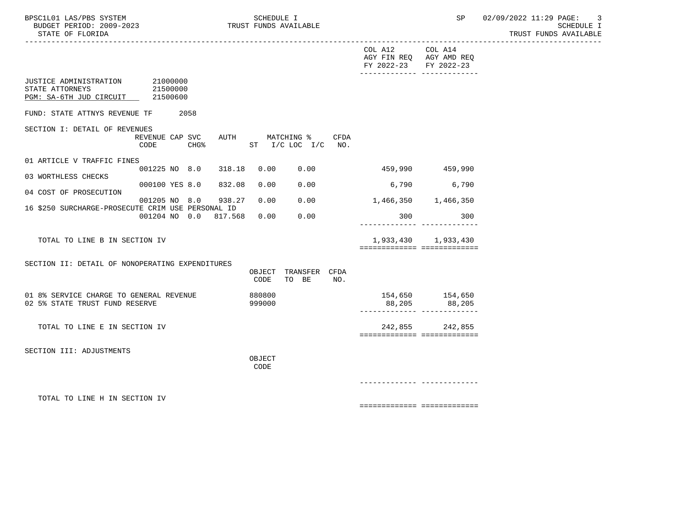|                                                                               |                                                                           |                  |                                       |      | COL A12 COL A14<br>FY 2022-23 FY 2022-23 | AGY FIN REQ AGY AMD REQ<br>________________________________         |  |
|-------------------------------------------------------------------------------|---------------------------------------------------------------------------|------------------|---------------------------------------|------|------------------------------------------|---------------------------------------------------------------------|--|
| JUSTICE ADMINISTRATION 21000000<br>STATE ATTORNEYS<br>PGM: SA-6TH JUD CIRCUIT | 21500000<br>21500600                                                      |                  |                                       |      |                                          |                                                                     |  |
| FUND: STATE ATTNYS REVENUE TF                                                 | 2058                                                                      |                  |                                       |      |                                          |                                                                     |  |
| SECTION I: DETAIL OF REVENUES                                                 | REVENUE CAP SVC<br>CODE<br>$CHG\$                                         |                  | AUTH MATCHING %<br>ST I/C LOC I/C NO. | CFDA |                                          |                                                                     |  |
| 01 ARTICLE V TRAFFIC FINES                                                    |                                                                           |                  |                                       |      |                                          |                                                                     |  |
| 03 WORTHLESS CHECKS                                                           | 001225 NO 8.0 318.18                                                      | 0.00             | 0.00                                  |      | 459,990 459,990                          |                                                                     |  |
| 04 COST OF PROSECUTION                                                        | 000100 YES 8.0 832.08                                                     | 0.00             | 0.00                                  |      | 6,790                                    | 6,790                                                               |  |
|                                                                               | 001205 NO 8.0 938.27<br>16 \$250 SURCHARGE-PROSECUTE CRIM USE PERSONAL ID | 0.00             | 0.00                                  |      | 1,466,350 1,466,350                      |                                                                     |  |
|                                                                               | 001204 NO 0.0 817.568                                                     | 0.00             | 0.00                                  |      | 300                                      | 300<br>------------ --------------                                  |  |
| TOTAL TO LINE B IN SECTION IV                                                 |                                                                           |                  |                                       |      |                                          | 1,933,430 1,933,430<br>============================                 |  |
| SECTION II: DETAIL OF NONOPERATING EXPENDITURES                               |                                                                           | CODE             | OBJECT TRANSFER CFDA<br>TO BE         | NO.  |                                          |                                                                     |  |
| 01 8% SERVICE CHARGE TO GENERAL REVENUE<br>02 5% STATE TRUST FUND RESERVE     |                                                                           | 880800<br>999000 |                                       |      |                                          | 154,650 154,650<br>88,205 88,205<br>_______________________________ |  |
| TOTAL TO LINE E IN SECTION IV                                                 |                                                                           |                  |                                       |      |                                          | 242,855 242,855<br>===========================                      |  |
| SECTION III: ADJUSTMENTS                                                      |                                                                           | OBJECT<br>CODE   |                                       |      |                                          |                                                                     |  |
|                                                                               |                                                                           |                  |                                       |      |                                          |                                                                     |  |
| TOTAL TO LINE H IN SECTION IV                                                 |                                                                           |                  |                                       |      |                                          | ===========================                                         |  |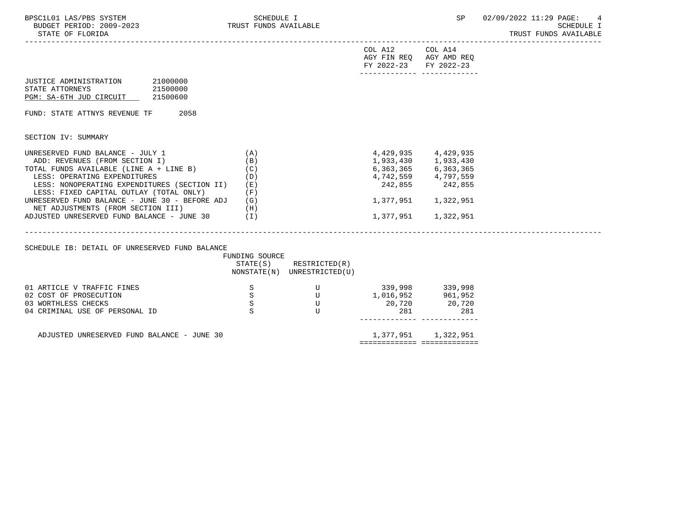| BPSC1L01 LAS/PBS SYSTEM<br>BUDGET PERIOD: 2009-2023<br>STATE OF FLORIDA                                                                                                                                                                                                                                                          | SCHEDULE I<br>TRUST FUNDS AVAILABLE                  |                                                                                                                                                                                                                                                                                                                                                                                                                                                                     |                                                                | <b>SP</b>                                                                                                                          | 02/09/2022 11:29 PAGE:<br>4<br>SCHEDULE I<br>TRUST FUNDS AVAILABLE |
|----------------------------------------------------------------------------------------------------------------------------------------------------------------------------------------------------------------------------------------------------------------------------------------------------------------------------------|------------------------------------------------------|---------------------------------------------------------------------------------------------------------------------------------------------------------------------------------------------------------------------------------------------------------------------------------------------------------------------------------------------------------------------------------------------------------------------------------------------------------------------|----------------------------------------------------------------|------------------------------------------------------------------------------------------------------------------------------------|--------------------------------------------------------------------|
|                                                                                                                                                                                                                                                                                                                                  |                                                      |                                                                                                                                                                                                                                                                                                                                                                                                                                                                     | COL A12 COL A14<br>FY 2022-23                                  | AGY FIN REQ AGY AMD REQ<br>FY 2022-23<br>-------------- -------------                                                              |                                                                    |
| 21000000<br>JUSTICE ADMINISTRATION<br>21500000<br>STATE ATTORNEYS<br>PGM: SA-6TH JUD CIRCUIT 21500600                                                                                                                                                                                                                            |                                                      |                                                                                                                                                                                                                                                                                                                                                                                                                                                                     |                                                                |                                                                                                                                    |                                                                    |
| 2058<br>FUND: STATE ATTNYS REVENUE TF                                                                                                                                                                                                                                                                                            |                                                      |                                                                                                                                                                                                                                                                                                                                                                                                                                                                     |                                                                |                                                                                                                                    |                                                                    |
| SECTION IV: SUMMARY                                                                                                                                                                                                                                                                                                              |                                                      |                                                                                                                                                                                                                                                                                                                                                                                                                                                                     |                                                                |                                                                                                                                    |                                                                    |
| UNRESERVED FUND BALANCE - JULY 1<br>ADD: REVENUES (FROM SECTION I)<br>TOTAL FUNDS AVAILABLE (LINE A + LINE B)<br>LESS: OPERATING EXPENDITURES<br>LESS: NONOPERATING EXPENDITURES (SECTION II)<br>LESS: FIXED CAPITAL OUTLAY (TOTAL ONLY)<br>UNRESERVED FUND BALANCE - JUNE 30 - BEFORE ADJ<br>NET ADJUSTMENTS (FROM SECTION III) | (A)<br>(B)<br>(C)<br>(D)<br>(E)<br>(F)<br>(G)<br>(H) |                                                                                                                                                                                                                                                                                                                                                                                                                                                                     |                                                                | 4,429,935 4,429,935<br>1,933,430 1,933,430<br>6,363,365 6,363,365<br>4,742,559 4,797,559<br>242,855 242,855<br>1,377,951 1,322,951 |                                                                    |
| ADJUSTED UNRESERVED FUND BALANCE - JUNE 30 (I)                                                                                                                                                                                                                                                                                   |                                                      |                                                                                                                                                                                                                                                                                                                                                                                                                                                                     |                                                                | 1,377,951 1,322,951                                                                                                                |                                                                    |
| SCHEDULE IB: DETAIL OF UNRESERVED FUND BALANCE                                                                                                                                                                                                                                                                                   | FUNDING SOURCE                                       | $STATE(S)$ RESTRICTED $(R)$<br>NONSTATE(N) UNRESTRICTED(U)                                                                                                                                                                                                                                                                                                                                                                                                          |                                                                |                                                                                                                                    |                                                                    |
| 01 ARTICLE V TRAFFIC FINES<br>02 COST OF PROSECUTION<br>03 WORTHLESS CHECKS<br>04 CRIMINAL USE OF PERSONAL ID                                                                                                                                                                                                                    | S<br>S<br>$\rm S$<br>S                               | $\begin{matrix} & & & & \mathbf{U} & & & \mathbf{U} & & \mathbf{U} & \mathbf{U} & \mathbf{U} & \mathbf{U} & \mathbf{U} & \mathbf{U} & \mathbf{U} & \mathbf{U} & \mathbf{U} & \mathbf{U} & \mathbf{U} & \mathbf{U} & \mathbf{U} & \mathbf{U} & \mathbf{U} & \mathbf{U} & \mathbf{U} & \mathbf{U} & \mathbf{U} & \mathbf{U} & \mathbf{U} & \mathbf{U} & \mathbf{U} & \mathbf{U} & \mathbf{U} & \mathbf{U} & \mathbf{U} & \mathbf{U$<br>$\overline{U}$<br>$\mathbf{U}$ | 339,998 339,998<br>$1,016,952$ 961,952<br>20,720 20,720<br>281 | 281                                                                                                                                |                                                                    |
| ADJUSTED UNRESERVED FUND BALANCE - JUNE 30                                                                                                                                                                                                                                                                                       |                                                      |                                                                                                                                                                                                                                                                                                                                                                                                                                                                     |                                                                | 1,377,951 1,322,951                                                                                                                |                                                                    |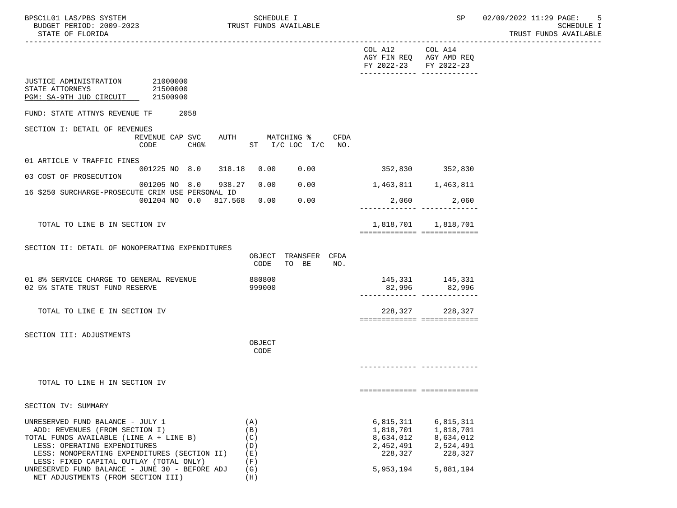|                                                                                      |                                                                           |                |                        |      | COL A12 COL A14<br>AGY FIN REQ AGY AMD REQ<br>FY 2022-23 FY 2022-23 | -------------- --------------                  |  |
|--------------------------------------------------------------------------------------|---------------------------------------------------------------------------|----------------|------------------------|------|---------------------------------------------------------------------|------------------------------------------------|--|
| JUSTICE ADMINISTRATION 21000000<br>STATE ATTORNEYS<br>PGM: SA-9TH JUD CIRCUIT        | 21500000<br>21500900                                                      |                |                        |      |                                                                     |                                                |  |
| FUND: STATE ATTNYS REVENUE TF                                                        | 2058                                                                      |                |                        |      |                                                                     |                                                |  |
| SECTION I: DETAIL OF REVENUES                                                        | REVENUE CAP SVC AUTH MATCHING %<br>CHG% ST I/C LOC I/C NO.<br>CODE        |                |                        | CFDA |                                                                     |                                                |  |
| 01 ARTICLE V TRAFFIC FINES                                                           | 001225 NO 8.0 318.18 0.00 0.00 352,830 352,830                            |                |                        |      |                                                                     |                                                |  |
| 03 COST OF PROSECUTION                                                               |                                                                           |                |                        |      |                                                                     |                                                |  |
|                                                                                      | 001205 NO 8.0 938.27<br>16 \$250 SURCHARGE-PROSECUTE CRIM USE PERSONAL ID | 0.00           | 0.00                   |      | 1,463,811 1,463,811                                                 |                                                |  |
|                                                                                      | 001204 NO 0.0 817.568 0.00                                                |                | 0.00                   |      |                                                                     | 2,060<br>2,060                                 |  |
| TOTAL TO LINE B IN SECTION IV                                                        |                                                                           |                |                        |      |                                                                     | 1,818,701 1,818,701                            |  |
|                                                                                      |                                                                           |                |                        |      |                                                                     | ============================                   |  |
| SECTION II: DETAIL OF NONOPERATING EXPENDITURES                                      |                                                                           |                |                        |      |                                                                     |                                                |  |
|                                                                                      |                                                                           | OBJECT<br>CODE | TRANSFER CFDA<br>TO BE | NO.  |                                                                     |                                                |  |
| 01 8% SERVICE CHARGE TO GENERAL REVENUE                                              |                                                                           | 880800         |                        |      |                                                                     | 145,331 145,331<br>82,996 82,996               |  |
| 02 5% STATE TRUST FUND RESERVE                                                       |                                                                           | 999000         |                        |      |                                                                     |                                                |  |
| TOTAL TO LINE E IN SECTION IV                                                        |                                                                           |                |                        |      |                                                                     | 228,327 228,327<br>=========================== |  |
| SECTION III: ADJUSTMENTS                                                             |                                                                           |                |                        |      |                                                                     |                                                |  |
|                                                                                      |                                                                           | OBJECT<br>CODE |                        |      |                                                                     |                                                |  |
|                                                                                      |                                                                           |                |                        |      |                                                                     |                                                |  |
| TOTAL TO LINE H IN SECTION IV                                                        |                                                                           |                |                        |      |                                                                     |                                                |  |
|                                                                                      |                                                                           |                |                        |      |                                                                     | ============================                   |  |
| SECTION IV: SUMMARY                                                                  |                                                                           |                |                        |      |                                                                     |                                                |  |
| UNRESERVED FUND BALANCE - JULY 1                                                     |                                                                           | (A)            |                        |      | 6,815,311                                                           | 6,815,311                                      |  |
| ADD: REVENUES (FROM SECTION I)                                                       |                                                                           | (B)            |                        |      | 1,818,701                                                           | 1,818,701                                      |  |
| TOTAL FUNDS AVAILABLE (LINE A + LINE B)<br>LESS: OPERATING EXPENDITURES              |                                                                           | (C)<br>(D)     |                        |      | 8,634,012<br>2,452,491                                              | 8,634,012<br>2,524,491                         |  |
| LESS: NONOPERATING EXPENDITURES (SECTION II)                                         |                                                                           | (E)            |                        |      | 228,327                                                             | 228,327                                        |  |
| LESS: FIXED CAPITAL OUTLAY (TOTAL ONLY)                                              |                                                                           | (F)            |                        |      |                                                                     |                                                |  |
| UNRESERVED FUND BALANCE - JUNE 30 - BEFORE ADJ<br>NET ADJUSTMENTS (FROM SECTION III) |                                                                           | (G)<br>(H)     |                        |      | 5,953,194                                                           | 5,881,194                                      |  |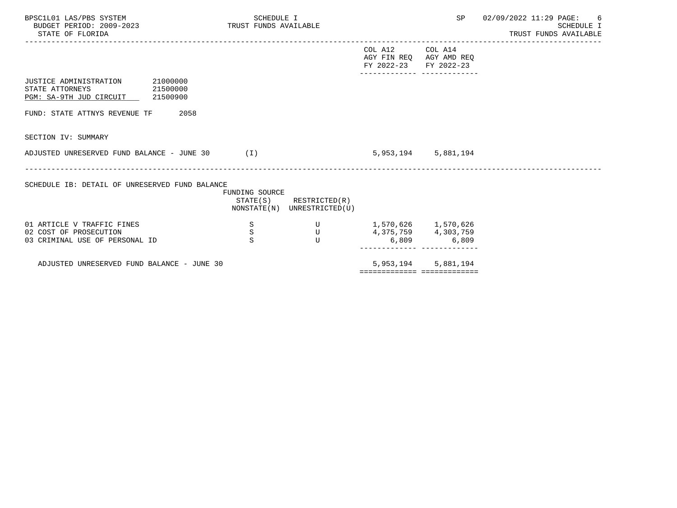| BPSC1L01 LAS/PBS SYSTEM<br>BUDGET PERIOD: 2009-2023<br>STATE OF FLORIDA                               | TRUST FUNDS AVAILABLE      | SCHEDULE I                                   |                                                  | SP                                         | 02/09/2022 11:29 PAGE:<br>6<br>SCHEDULE I<br>TRUST FUNDS AVAILABLE |
|-------------------------------------------------------------------------------------------------------|----------------------------|----------------------------------------------|--------------------------------------------------|--------------------------------------------|--------------------------------------------------------------------|
|                                                                                                       |                            |                                              | COL A12<br>AGY FIN REQ AGY AMD REQ<br>FY 2022-23 | COL A14<br>FY 2022-23                      |                                                                    |
| 21000000<br>JUSTICE ADMINISTRATION<br>21500000<br>STATE ATTORNEYS<br>PGM: SA-9TH JUD CIRCUIT 21500900 |                            |                                              |                                                  |                                            |                                                                    |
| FUND: STATE ATTNYS REVENUE TF                                                                         | 2058                       |                                              |                                                  |                                            |                                                                    |
| SECTION IV: SUMMARY                                                                                   |                            |                                              |                                                  |                                            |                                                                    |
| ADJUSTED UNRESERVED FUND BALANCE - JUNE 30 (I)                                                        |                            |                                              |                                                  | 5,953,194 5,881,194                        |                                                                    |
| SCHEDULE IB: DETAIL OF UNRESERVED FUND BALANCE                                                        | FUNDING SOURCE<br>STATE(S) | RESTRICTED(R)<br>NONSTATE(N) UNRESTRICTED(U) |                                                  |                                            |                                                                    |
| 01 ARTICLE V TRAFFIC FINES<br>02 COST OF PROSECUTION<br>03 CRIMINAL USE OF PERSONAL ID                | S<br>$\mathbf S$<br>S      | U<br>$\mathbf{U}$<br>U                       | 1,570,626 1,570,626                              | 4, 375, 759 4, 303, 759<br>$6,809$ $6,809$ |                                                                    |
| ADJUSTED UNRESERVED FUND BALANCE - JUNE 30                                                            |                            |                                              | 5,953,194                                        | 5,881,194                                  |                                                                    |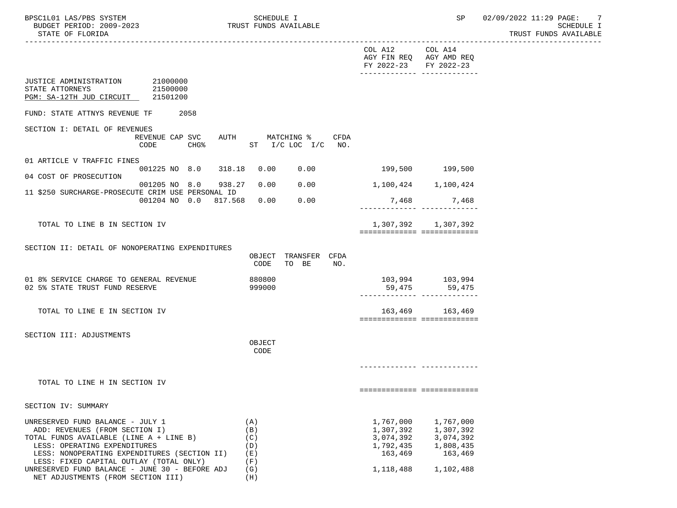|                                                                                                                                                                                               |                                                |                                 |                                 | COL A12 COL A14<br>AGY FIN REQ AGY AMD REQ<br>FY 2022-23 FY 2022-23 | -------------- --------------                               |  |
|-----------------------------------------------------------------------------------------------------------------------------------------------------------------------------------------------|------------------------------------------------|---------------------------------|---------------------------------|---------------------------------------------------------------------|-------------------------------------------------------------|--|
| JUSTICE ADMINISTRATION 21000000<br>STATE ATTORNEYS<br>PGM: SA-12TH JUD CIRCUIT 21501200                                                                                                       | 21500000                                       |                                 |                                 |                                                                     |                                                             |  |
| FUND: STATE ATTNYS REVENUE TF                                                                                                                                                                 | 2058                                           |                                 |                                 |                                                                     |                                                             |  |
| SECTION I: DETAIL OF REVENUES                                                                                                                                                                 | REVENUE CAP SVC AUTH MATCHING %<br>CODE        |                                 | CFDA<br>CHG% ST I/C LOC I/C NO. |                                                                     |                                                             |  |
| 01 ARTICLE V TRAFFIC FINES                                                                                                                                                                    | 001225 NO 8.0 318.18 0.00 0.00 199,500 199,500 |                                 |                                 |                                                                     |                                                             |  |
| 04 COST OF PROSECUTION                                                                                                                                                                        |                                                |                                 |                                 |                                                                     |                                                             |  |
| 11 \$250 SURCHARGE-PROSECUTE CRIM USE PERSONAL ID                                                                                                                                             | 001205 NO 8.0 938.27                           | 0.00                            | 0.00                            | 1,100,424 1,100,424                                                 |                                                             |  |
|                                                                                                                                                                                               | 001204 NO 0.0 817.568 0.00                     |                                 | 0.00                            |                                                                     | 7,468 7,468                                                 |  |
| TOTAL TO LINE B IN SECTION IV                                                                                                                                                                 |                                                |                                 |                                 | ===========================                                         | 1,307,392 1,307,392                                         |  |
| SECTION II: DETAIL OF NONOPERATING EXPENDITURES                                                                                                                                               |                                                | OBJECT                          | TRANSFER CFDA                   |                                                                     |                                                             |  |
|                                                                                                                                                                                               |                                                | CODE                            | TO BE<br>NO.                    |                                                                     |                                                             |  |
| 01 8% SERVICE CHARGE TO GENERAL REVENUE<br>02 5% STATE TRUST FUND RESERVE                                                                                                                     |                                                | 880800<br>999000                |                                 | ------------- -------------                                         |                                                             |  |
| TOTAL TO LINE E IN SECTION IV                                                                                                                                                                 |                                                |                                 |                                 | ===========================                                         | 163,469 163,469                                             |  |
| SECTION III: ADJUSTMENTS                                                                                                                                                                      |                                                | OBJECT<br>CODE                  |                                 |                                                                     |                                                             |  |
|                                                                                                                                                                                               |                                                |                                 |                                 |                                                                     |                                                             |  |
| TOTAL TO LINE H IN SECTION IV                                                                                                                                                                 |                                                |                                 |                                 |                                                                     |                                                             |  |
|                                                                                                                                                                                               |                                                |                                 |                                 | ============================                                        |                                                             |  |
| SECTION IV: SUMMARY                                                                                                                                                                           |                                                |                                 |                                 |                                                                     |                                                             |  |
| UNRESERVED FUND BALANCE - JULY 1<br>ADD: REVENUES (FROM SECTION I)<br>TOTAL FUNDS AVAILABLE (LINE A + LINE B)<br>LESS: OPERATING EXPENDITURES<br>LESS: NONOPERATING EXPENDITURES (SECTION II) |                                                | (A)<br>(B)<br>(C)<br>(D)<br>(E) |                                 | 1,767,000<br>1,307,392<br>3,074,392<br>1,792,435<br>163,469         | 1,767,000<br>1,307,392<br>3,074,392<br>1,808,435<br>163,469 |  |
| LESS: FIXED CAPITAL OUTLAY (TOTAL ONLY)<br>UNRESERVED FUND BALANCE - JUNE 30 - BEFORE ADJ<br>NET ADJUSTMENTS (FROM SECTION III)                                                               |                                                | (F)<br>(G)<br>(H)               |                                 | 1,118,488                                                           | 1,102,488                                                   |  |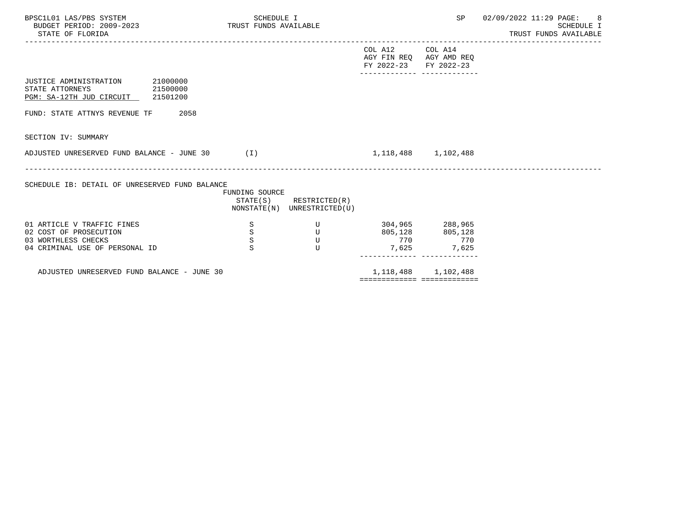| BPSC1L01 LAS/PBS SYSTEM<br>TRUST FUNDS AVAILABLE<br>BUDGET PERIOD: 2009-2023<br>STATE OF FLORIDA              | SCHEDULE I                   |                                                            |                                                  | SP                                         | 02/09/2022 11:29 PAGE:<br>- 8<br>SCHEDULE I<br>TRUST FUNDS AVAILABLE |
|---------------------------------------------------------------------------------------------------------------|------------------------------|------------------------------------------------------------|--------------------------------------------------|--------------------------------------------|----------------------------------------------------------------------|
|                                                                                                               |                              |                                                            | COL A12<br>AGY FIN REQ AGY AMD REQ<br>FY 2022-23 | COL A14<br>FY 2022-23                      |                                                                      |
| JUSTICE ADMINISTRATION 21000000<br>21500000<br>STATE ATTORNEYS<br>PGM: SA-12TH JUD CIRCUIT 21501200           |                              |                                                            |                                                  |                                            |                                                                      |
| FUND: STATE ATTNYS REVENUE TF<br>2058                                                                         |                              |                                                            |                                                  |                                            |                                                                      |
| SECTION IV: SUMMARY                                                                                           |                              |                                                            |                                                  |                                            |                                                                      |
| ADJUSTED UNRESERVED FUND BALANCE - JUNE 30                                                                    | (I)                          |                                                            |                                                  | 1, 118, 488 1, 102, 488                    |                                                                      |
| SCHEDULE IB: DETAIL OF UNRESERVED FUND BALANCE                                                                | FUNDING SOURCE               | $STATE(S)$ RESTRICTED $(R)$<br>NONSTATE(N) UNRESTRICTED(U) |                                                  |                                            |                                                                      |
| 01 ARTICLE V TRAFFIC FINES<br>02 COST OF PROSECUTION<br>03 WORTHLESS CHECKS<br>04 CRIMINAL USE OF PERSONAL ID | S<br>$\rm S$<br>$\rm S$<br>S | U<br>U<br>U<br>U                                           | 805,128<br>770<br>7,625                          | 304,965 288,965<br>805,128<br>770<br>7,625 |                                                                      |

ADJUSTED UNRESERVED FUND BALANCE - JUNE 30 1,118,488 1,118,488 1,102,488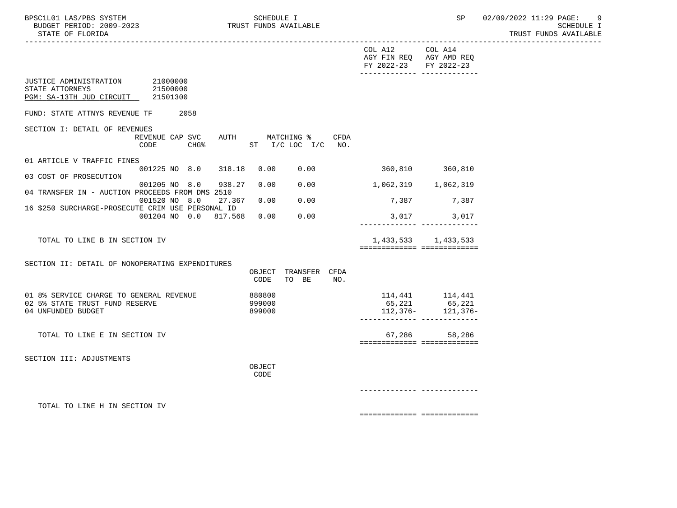----------------------------------------------------------------------------------------------------------------------------------- COL A12 COL A14 AGY FIN REQ AGY AMD REQ FY 2022-23 FY 2022-23 ------------- ------------- JUSTICE ADMINISTRATION 21000000<br>STATE ATTORNEYS 21500000 STATE ATTORNEYS PGM: SA-13TH JUD CIRCUIT 21501300 FUND: STATE ATTNYS REVENUE TF 2058 SECTION I: DETAIL OF REVENUES REVENUE CAP SVC AUTH MATCHING % CFDA CODE CHG<sup>&</sup> ST I/C LOC I/C NO. 01 ARTICLE V TRAFFIC FINES 001225 NO 8.0 318.18 0.00 0.00 360,810 360,810 03 COST OF PROSECUTION 001205 NO 8.0 938.27 0.00 0.00 1,062,319 1,062,319 04 TRANSFER IN - AUCTION PROCEEDS FROM DMS 2510 001520 NO 8.0 27.367 0.00 0.00 7,387 7,387 16 \$250 SURCHARGE-PROSECUTE CRIM USE PERSONAL ID 001204 NO 0.0 817.568 0.00 0.00 3,017 3,017 ------------- ------------- TOTAL TO LINE B IN SECTION IV 1,433,533 1,433,533 ============= ============= SECTION II: DETAIL OF NONOPERATING EXPENDITURES OBJECT TRANSFER CFDA CODE TO BE NO. 01 8% SERVICE CHARGE TO GENERAL REVENUE 880800 114,441 114,441 114,441 02 5% STATE TRUST FUND RESERVE 999000 65,221 65,221 112,376- 121,376- ------------- ------------- TOTAL TO LINE E IN SECTION IV **67,286** 58,286 ============= ============= SECTION III: ADJUSTMENTS **OBJECT CODE**  ------------- ------------- TOTAL TO LINE H IN SECTION IV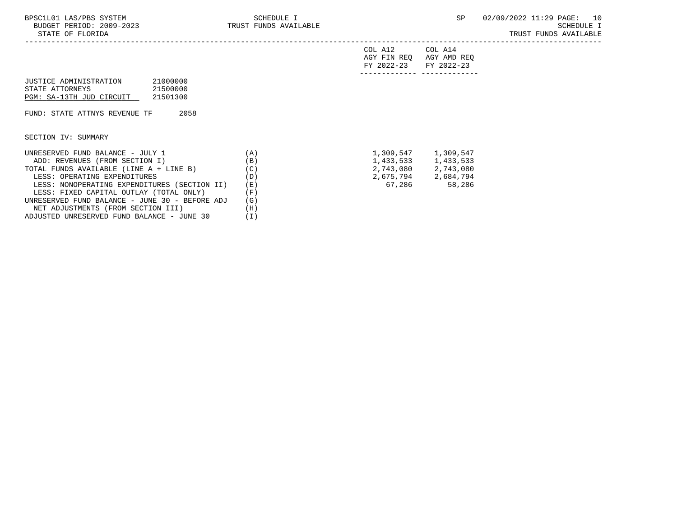LESS: FIXED CAPITAL OUTLAY (TOTAL ONLY) (F)<br>NRESERVED FUND BALANCE - JUNE 30 - BEFORE ADJ (G)

 NET ADJUSTMENTS (FROM SECTION III) (H) ADJUSTED UNRESERVED FUND BALANCE - JUNE 30 (I)

UNRESERVED FUND BALANCE - JUNE 30 - BEFORE ADJ (G)

|                                                                                                           |     | COL A12<br>AGY FIN REO<br>FY 2022-23 | COL A14<br>AGY AMD REQ<br>FY 2022-23 |
|-----------------------------------------------------------------------------------------------------------|-----|--------------------------------------|--------------------------------------|
| 21000000<br>JUSTICE ADMINISTRATION<br>21500000<br>STATE ATTORNEYS<br>PGM: SA-13TH JUD CIRCUIT<br>21501300 |     |                                      |                                      |
| 2058<br>FUND: STATE ATTNYS REVENUE TF                                                                     |     |                                      |                                      |
| SECTION IV: SUMMARY                                                                                       |     |                                      |                                      |
| UNRESERVED FUND BALANCE - JULY 1                                                                          | (A) | 1,309,547                            | 1,309,547                            |
| ADD: REVENUES (FROM SECTION I)                                                                            | (B) | 1,433,533                            | 1,433,533                            |
| TOTAL FUNDS AVAILABLE (LINE A + LINE B)                                                                   | (C) | 2,743,080                            | 2,743,080                            |
| LESS: OPERATING EXPENDITURES                                                                              | (D) | 2,675,794                            | 2,684,794                            |
| LESS: NONOPERATING EXPENDITURES (SECTION II)                                                              | (E) | 67,286                               | 58,286                               |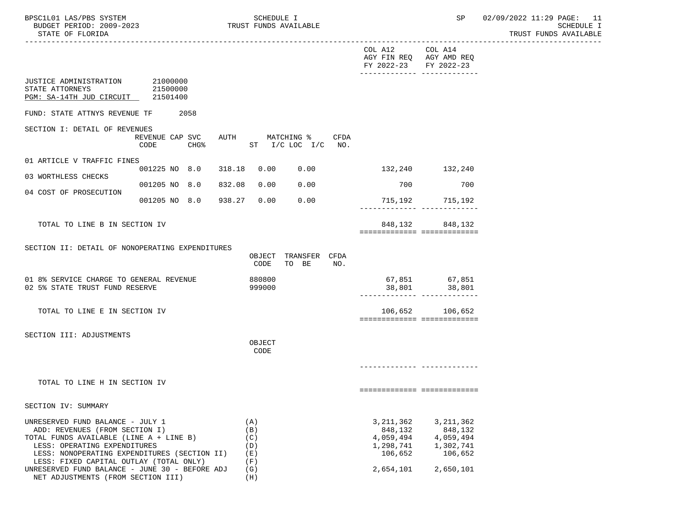|                                                                                                                                                                                                                                          |                                                        |                                        |                                      | COL A12 COL A14<br>FY 2022-23 FY 2022-23                    | AGY FIN REQ AGY AMD REQ<br>-------------- --------------            |
|------------------------------------------------------------------------------------------------------------------------------------------------------------------------------------------------------------------------------------------|--------------------------------------------------------|----------------------------------------|--------------------------------------|-------------------------------------------------------------|---------------------------------------------------------------------|
| JUSTICE ADMINISTRATION 21000000<br>STATE ATTORNEYS<br>PGM: SA-14TH JUD CIRCUIT 21501400                                                                                                                                                  | 21500000                                               |                                        |                                      |                                                             |                                                                     |
| FUND: STATE ATTNYS REVENUE TF                                                                                                                                                                                                            | 2058                                                   |                                        |                                      |                                                             |                                                                     |
| SECTION I: DETAIL OF REVENUES                                                                                                                                                                                                            | REVENUE CAP SVC AUTH MATCHING % CFDA<br>$CHG\$<br>CODE | ST I/C LOC I/C NO.                     |                                      |                                                             |                                                                     |
| 01 ARTICLE V TRAFFIC FINES                                                                                                                                                                                                               | 001225 NO 8.0 318.18                                   |                                        | 0.00 0.00                            | 132,240 132,240                                             |                                                                     |
| 03 WORTHLESS CHECKS                                                                                                                                                                                                                      | 001205 NO 8.0                                          | 0.00<br>832.08                         | 0.00                                 | 700                                                         | 700                                                                 |
| 04 COST OF PROSECUTION                                                                                                                                                                                                                   | 001205 NO 8.0 938.27                                   | 0.00                                   | 0.00                                 |                                                             | 715,192 715,192                                                     |
| TOTAL TO LINE B IN SECTION IV                                                                                                                                                                                                            |                                                        |                                        |                                      |                                                             | 848, 132 848, 132<br>===========================                    |
| SECTION II: DETAIL OF NONOPERATING EXPENDITURES                                                                                                                                                                                          |                                                        |                                        |                                      |                                                             |                                                                     |
|                                                                                                                                                                                                                                          |                                                        | CODE                                   | OBJECT TRANSFER CFDA<br>TO BE<br>NO. |                                                             |                                                                     |
| 01 8% SERVICE CHARGE TO GENERAL REVENUE<br>02 5% STATE TRUST FUND RESERVE                                                                                                                                                                |                                                        | 880800<br>999000                       |                                      |                                                             | 67,851 67,851<br>38,801 38,801<br>_________________________________ |
| TOTAL TO LINE E IN SECTION IV                                                                                                                                                                                                            |                                                        |                                        |                                      |                                                             | 106,652 106,652<br>============================                     |
| SECTION III: ADJUSTMENTS                                                                                                                                                                                                                 |                                                        | OBJECT<br>CODE                         |                                      |                                                             |                                                                     |
|                                                                                                                                                                                                                                          |                                                        |                                        |                                      |                                                             |                                                                     |
| TOTAL TO LINE H IN SECTION IV                                                                                                                                                                                                            |                                                        |                                        |                                      |                                                             | ============================                                        |
| SECTION IV: SUMMARY                                                                                                                                                                                                                      |                                                        |                                        |                                      |                                                             |                                                                     |
| UNRESERVED FUND BALANCE - JULY 1<br>ADD: REVENUES (FROM SECTION I)<br>TOTAL FUNDS AVAILABLE (LINE A + LINE B)<br>LESS: OPERATING EXPENDITURES<br>LESS: NONOPERATING EXPENDITURES (SECTION II)<br>LESS: FIXED CAPITAL OUTLAY (TOTAL ONLY) |                                                        | (A)<br>(B)<br>(C)<br>(D)<br>(E)<br>(F) |                                      | 3, 211, 362<br>848,132<br>4,059,494<br>1,298,741<br>106,652 | 3, 211, 362<br>848,132<br>4,059,494<br>1,302,741<br>106,652         |
| UNRESERVED FUND BALANCE - JUNE 30 - BEFORE ADJ<br>NET ADJUSTMENTS (FROM SECTION III)                                                                                                                                                     |                                                        | (G)<br>(H)                             |                                      | 2,654,101                                                   | 2,650,101                                                           |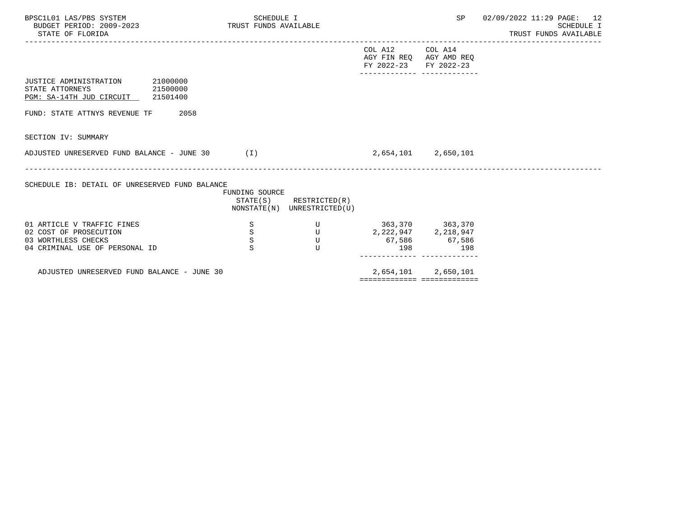| BPSC1L01 LAS/PBS SYSTEM<br>BUDGET PERIOD: 2009-2023<br>STATE OF FLORIDA                             | SCHEDULE I<br>TRUST FUNDS AVAILABLE |                                                            |                                                  | SP                      | $02/09/2022$ 11:29 PAGE: 12<br>SCHEDULE I<br>TRUST FUNDS AVAILABLE |
|-----------------------------------------------------------------------------------------------------|-------------------------------------|------------------------------------------------------------|--------------------------------------------------|-------------------------|--------------------------------------------------------------------|
|                                                                                                     |                                     |                                                            | COL A12<br>AGY FIN REQ AGY AMD REQ<br>FY 2022-23 | COL A14<br>FY 2022-23   |                                                                    |
| JUSTICE ADMINISTRATION 21000000<br>STATE ATTORNEYS<br>21500000<br>PGM: SA-14TH JUD CIRCUIT 21501400 |                                     |                                                            |                                                  |                         |                                                                    |
| 2058<br>FUND: STATE ATTNYS REVENUE TF                                                               |                                     |                                                            |                                                  |                         |                                                                    |
| SECTION IV: SUMMARY                                                                                 |                                     |                                                            |                                                  |                         |                                                                    |
| ADJUSTED UNRESERVED FUND BALANCE - JUNE 30                                                          | (1)                                 |                                                            |                                                  | 2,654,101 2,650,101     |                                                                    |
| SCHEDULE IB: DETAIL OF UNRESERVED FUND BALANCE                                                      | FUNDING SOURCE                      | $STATE(S)$ RESTRICTED $(R)$<br>NONSTATE(N) UNRESTRICTED(U) |                                                  |                         |                                                                    |
| 01 ARTICLE V TRAFFIC FINES                                                                          | S                                   | U                                                          | 363,370 363,370                                  |                         |                                                                    |
| 02 COST OF PROSECUTION                                                                              | $\rm S$                             | U                                                          |                                                  | 2, 222, 947 2, 218, 947 |                                                                    |
| 03 WORTHLESS CHECKS                                                                                 | $\rm S$                             | U                                                          |                                                  | 67,586 67,586           |                                                                    |
| 04 CRIMINAL USE OF PERSONAL ID                                                                      | S                                   | U                                                          | 198                                              | 198                     |                                                                    |

ADJUSTED UNRESERVED FUND BALANCE - JUNE 30 2,654,101 2,650,101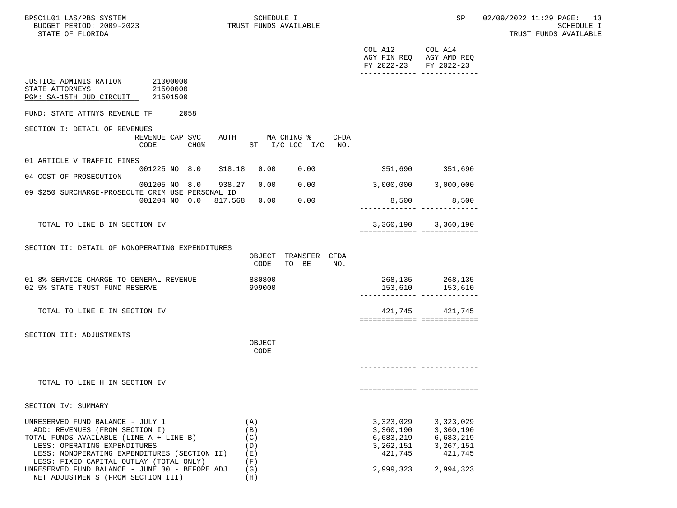|                                                                                         |                                                                    |                  |                        |      | COL A12 COL A14<br>AGY FIN REQ AGY AMD REQ<br>FY 2022-23 FY 2022-23 | -------------- --------------                                |  |
|-----------------------------------------------------------------------------------------|--------------------------------------------------------------------|------------------|------------------------|------|---------------------------------------------------------------------|--------------------------------------------------------------|--|
| JUSTICE ADMINISTRATION 21000000<br>STATE ATTORNEYS<br>PGM: SA-15TH JUD CIRCUIT 21501500 | 21500000                                                           |                  |                        |      |                                                                     |                                                              |  |
| FUND: STATE ATTNYS REVENUE TF                                                           | 2058                                                               |                  |                        |      |                                                                     |                                                              |  |
| SECTION I: DETAIL OF REVENUES                                                           | REVENUE CAP SVC AUTH MATCHING %<br>CHG% ST I/C LOC I/C NO.<br>CODE |                  |                        | CFDA |                                                                     |                                                              |  |
| 01 ARTICLE V TRAFFIC FINES                                                              |                                                                    |                  |                        |      |                                                                     |                                                              |  |
| 04 COST OF PROSECUTION                                                                  | 001225 NO 8.0 318.18 0.00 0.00 351,690 351,690                     |                  |                        |      |                                                                     |                                                              |  |
| 09 \$250 SURCHARGE-PROSECUTE CRIM USE PERSONAL ID                                       | 001205 NO 8.0 938.27 0.00                                          |                  | 0.00                   |      | 3,000,000 3,000,000                                                 |                                                              |  |
|                                                                                         | 001204 NO 0.0 817.568 0.00                                         |                  | 0.00                   |      |                                                                     | 8,500 8,500                                                  |  |
| TOTAL TO LINE B IN SECTION IV                                                           |                                                                    |                  |                        |      |                                                                     | 3, 360, 190 3, 360, 190                                      |  |
|                                                                                         |                                                                    |                  |                        |      |                                                                     | ============================                                 |  |
| SECTION II: DETAIL OF NONOPERATING EXPENDITURES                                         |                                                                    |                  |                        |      |                                                                     |                                                              |  |
|                                                                                         |                                                                    | OBJECT<br>CODE   | TRANSFER CFDA<br>TO BE | NO.  |                                                                     |                                                              |  |
| 01 8% SERVICE CHARGE TO GENERAL REVENUE<br>02 5% STATE TRUST FUND RESERVE               |                                                                    | 880800<br>999000 |                        |      |                                                                     | 268,135 268,135<br>153,610 153,610<br>-------- ------------- |  |
| TOTAL TO LINE E IN SECTION IV                                                           |                                                                    |                  |                        |      |                                                                     | 421,745 421,745<br>============================              |  |
| SECTION III: ADJUSTMENTS                                                                |                                                                    |                  |                        |      |                                                                     |                                                              |  |
|                                                                                         |                                                                    | OBJECT<br>CODE   |                        |      |                                                                     |                                                              |  |
|                                                                                         |                                                                    |                  |                        |      |                                                                     |                                                              |  |
| TOTAL TO LINE H IN SECTION IV                                                           |                                                                    |                  |                        |      |                                                                     |                                                              |  |
|                                                                                         |                                                                    |                  |                        |      |                                                                     | ============================                                 |  |
| SECTION IV: SUMMARY                                                                     |                                                                    |                  |                        |      |                                                                     |                                                              |  |
| UNRESERVED FUND BALANCE - JULY 1                                                        |                                                                    | (A)              |                        |      | 3,323,029                                                           | 3,323,029                                                    |  |
| ADD: REVENUES (FROM SECTION I)                                                          |                                                                    | (B)              |                        |      | 3,360,190                                                           | 3,360,190                                                    |  |
| TOTAL FUNDS AVAILABLE (LINE A + LINE B)                                                 |                                                                    | (C)              |                        |      | 6,683,219                                                           | 6,683,219                                                    |  |
| LESS: OPERATING EXPENDITURES<br>LESS: NONOPERATING EXPENDITURES (SECTION II)            |                                                                    | (D)<br>(E)       |                        |      | 3,262,151<br>421,745                                                | 3, 267, 151<br>421,745                                       |  |
| LESS: FIXED CAPITAL OUTLAY (TOTAL ONLY)                                                 |                                                                    | (F)              |                        |      |                                                                     |                                                              |  |
| UNRESERVED FUND BALANCE - JUNE 30 - BEFORE ADJ<br>NET ADJUSTMENTS (FROM SECTION III)    |                                                                    | (G)<br>(H)       |                        |      | 2,999,323                                                           | 2,994,323                                                    |  |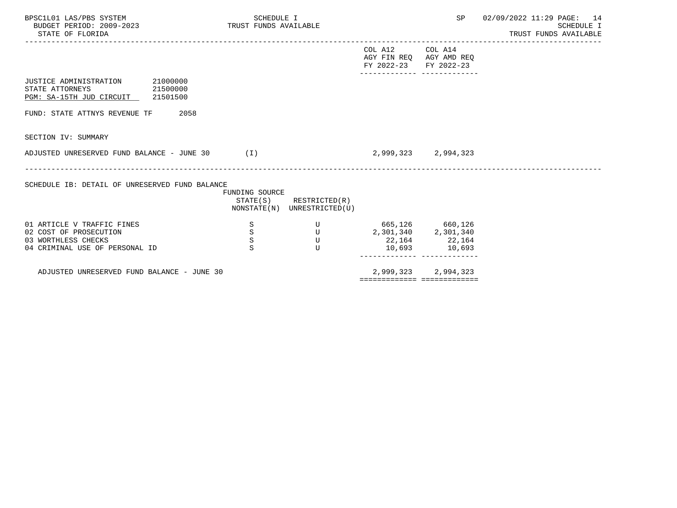| BPSC1L01 LAS/PBS SYSTEM<br>BUDGET PERIOD: 2009-2023<br>STATE OF FLORIDA                    |          | SCHEDULE I<br>TRUST FUNDS AVAILABLE |                                                            |                                                  | SP                    | 02/09/2022 11:29 PAGE: 14<br><b>SCHEDULE I</b><br>TRUST FUNDS AVAILABLE |
|--------------------------------------------------------------------------------------------|----------|-------------------------------------|------------------------------------------------------------|--------------------------------------------------|-----------------------|-------------------------------------------------------------------------|
|                                                                                            |          |                                     |                                                            | COL A12<br>AGY FIN REQ AGY AMD REQ<br>FY 2022-23 | COL A14<br>FY 2022-23 |                                                                         |
| JUSTICE ADMINISTRATION<br>STATE ATTORNEYS<br>21500000<br>PGM: SA-15TH JUD CIRCUIT 21501500 | 21000000 |                                     |                                                            |                                                  |                       |                                                                         |
| FUND: STATE ATTNYS REVENUE TF                                                              | 2058     |                                     |                                                            |                                                  |                       |                                                                         |
| SECTION IV: SUMMARY                                                                        |          |                                     |                                                            |                                                  |                       |                                                                         |
| ADJUSTED UNRESERVED FUND BALANCE - JUNE 30                                                 |          | (1)                                 |                                                            |                                                  | 2,999,323 2,994,323   |                                                                         |
| SCHEDULE IB: DETAIL OF UNRESERVED FUND BALANCE                                             |          | FUNDING SOURCE                      | $STATE(S)$ RESTRICTED $(R)$<br>NONSTATE(N) UNRESTRICTED(U) |                                                  |                       |                                                                         |
| 01 ARTICLE V TRAFFIC FINES                                                                 |          | S                                   | U                                                          | 665,126 660,126                                  |                       |                                                                         |
| 02 COST OF PROSECUTION                                                                     |          | $\rm S$                             | $\overline{U}$                                             | 2,301,340<br>22,164<br>22,164                    |                       |                                                                         |
| 03 WORTHLESS CHECKS<br>04 CRIMINAL USE OF PERSONAL ID                                      |          | S<br>S                              | U<br>U                                                     |                                                  | 10,693 10,693         |                                                                         |
|                                                                                            |          |                                     |                                                            |                                                  |                       |                                                                         |

ADJUSTED UNRESERVED FUND BALANCE - JUNE 30 2,999,323 2,994,323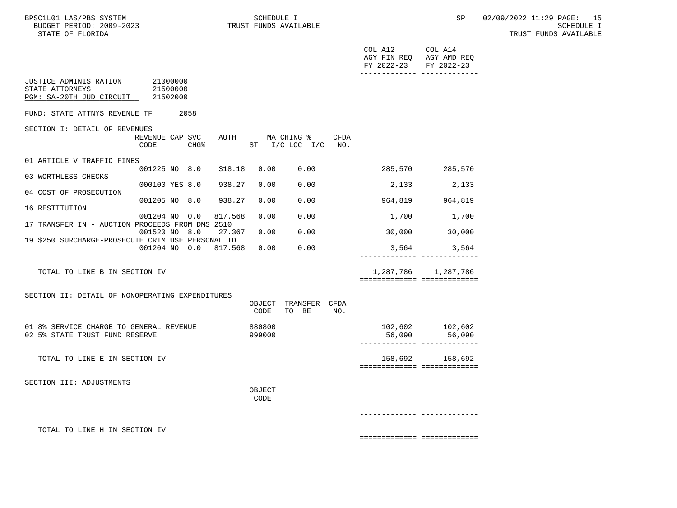|                                                                                         |                            |                       |                  |                                                                            |      | COL A12<br>FY 2022-23 FY 2022-23 | COL A14<br>AGY FIN REQ AGY AMD REQ<br>________________________________ |
|-----------------------------------------------------------------------------------------|----------------------------|-----------------------|------------------|----------------------------------------------------------------------------|------|----------------------------------|------------------------------------------------------------------------|
| JUSTICE ADMINISTRATION 21000000<br>STATE ATTORNEYS<br>PGM: SA-20TH JUD CIRCUIT 21502000 | 21500000                   |                       |                  |                                                                            |      |                                  |                                                                        |
| FUND: STATE ATTNYS REVENUE TF 2058                                                      |                            |                       |                  |                                                                            |      |                                  |                                                                        |
| SECTION I: DETAIL OF REVENUES                                                           | CODE                       |                       |                  | REVENUE CAP SVC AUTH MATCHING %<br>CHG <sup>&amp;</sup> ST I/C LOC I/C NO. | CFDA |                                  |                                                                        |
| 01 ARTICLE V TRAFFIC FINES                                                              |                            |                       |                  | 001225 NO 8.0 318.18 0.00 0.00                                             |      | 285,570 285,570                  |                                                                        |
| 03 WORTHLESS CHECKS                                                                     |                            |                       |                  |                                                                            |      |                                  |                                                                        |
|                                                                                         |                            | 000100 YES 8.0 938.27 | 0.00             | 0.00                                                                       |      | 2,133                            | 2,133                                                                  |
| 04 COST OF PROSECUTION                                                                  | 001205 NO 8.0 938.27       |                       | 0.00             | 0.00                                                                       |      |                                  | 964,819 964,819                                                        |
| 16 RESTITUTION                                                                          |                            |                       |                  |                                                                            |      |                                  |                                                                        |
| 17 TRANSFER IN - AUCTION PROCEEDS FROM DMS 2510                                         | 001204 NO 0.0              | 817.568               | 0.00             | 0.00                                                                       |      | 1,700                            | 1,700                                                                  |
|                                                                                         | 001520 NO 8.0              | 27.367 0.00           |                  | 0.00                                                                       |      | $30,000$ 30,000                  |                                                                        |
| 19 \$250 SURCHARGE-PROSECUTE CRIM USE PERSONAL ID                                       | 001204 NO 0.0 817.568 0.00 |                       |                  | 0.00                                                                       |      |                                  | 3,564 3,564                                                            |
|                                                                                         |                            |                       |                  |                                                                            |      |                                  |                                                                        |
| TOTAL TO LINE B IN SECTION IV                                                           |                            |                       |                  |                                                                            |      |                                  | 1,287,786 1,287,786<br>============================                    |
|                                                                                         |                            |                       |                  |                                                                            |      |                                  |                                                                        |
| SECTION II: DETAIL OF NONOPERATING EXPENDITURES                                         |                            |                       | OBJECT<br>CODE   | TRANSFER CFDA<br>TO BE                                                     | NO.  |                                  |                                                                        |
| 01 8% SERVICE CHARGE TO GENERAL REVENUE<br>02 5% STATE TRUST FUND RESERVE               |                            |                       | 880800<br>999000 |                                                                            |      |                                  | 102,602 102,602<br>56,090 56,090                                       |
| TOTAL TO LINE E IN SECTION IV                                                           |                            |                       |                  |                                                                            |      |                                  | 158,692 158,692<br>============================                        |
| SECTION III: ADJUSTMENTS                                                                |                            |                       |                  |                                                                            |      |                                  |                                                                        |
|                                                                                         |                            |                       | OBJECT<br>CODE   |                                                                            |      |                                  |                                                                        |
|                                                                                         |                            |                       |                  |                                                                            |      |                                  |                                                                        |
| TOTAL TO LINE H IN SECTION IV                                                           |                            |                       |                  |                                                                            |      |                                  |                                                                        |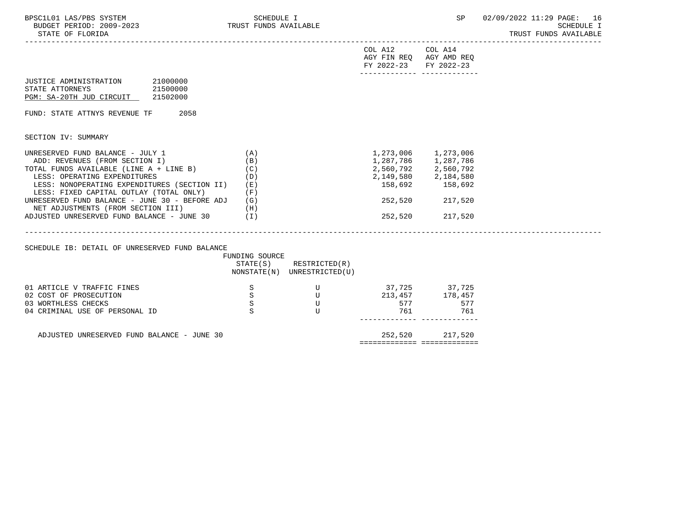| BPSC1L01 LAS/PBS SYSTEM<br>BUDGET PERIOD: 2009-2023<br>STATE OF FLORIDA                                                                                                                                                                                                                                                                                                                         | SCHEDULE I<br>TRUST FUNDS AVAILABLE    |                                                                                                                                               |                                                                                                         |                                                                                                                                                   | SP 02/09/2022 11:29 PAGE: 16<br><b>SCHEDULE I</b><br>TRUST FUNDS AVAILABLE |
|-------------------------------------------------------------------------------------------------------------------------------------------------------------------------------------------------------------------------------------------------------------------------------------------------------------------------------------------------------------------------------------------------|----------------------------------------|-----------------------------------------------------------------------------------------------------------------------------------------------|---------------------------------------------------------------------------------------------------------|---------------------------------------------------------------------------------------------------------------------------------------------------|----------------------------------------------------------------------------|
|                                                                                                                                                                                                                                                                                                                                                                                                 |                                        |                                                                                                                                               | COL A12 COL A14<br>AGY FIN REQ AGY AMD REQ<br>FY 2022-23 FY 2022-23<br>________________________________ |                                                                                                                                                   |                                                                            |
| JUSTICE ADMINISTRATION 21000000<br>STATE ATTORNEYS<br>21500000<br>PGM: SA-20TH JUD CIRCUIT 21502000                                                                                                                                                                                                                                                                                             |                                        |                                                                                                                                               |                                                                                                         |                                                                                                                                                   |                                                                            |
| FUND: STATE ATTNYS REVENUE TF 2058                                                                                                                                                                                                                                                                                                                                                              |                                        |                                                                                                                                               |                                                                                                         |                                                                                                                                                   |                                                                            |
| SECTION IV: SUMMARY                                                                                                                                                                                                                                                                                                                                                                             |                                        |                                                                                                                                               |                                                                                                         |                                                                                                                                                   |                                                                            |
| UNRESERVED FUND BALANCE - JULY 1<br>ADD: REVENUES (FROM SECTION I)<br>TOTAL FUNDS AVAILABLE (LINE $A + LINE B$ ) (C)<br>LESS: OPERATING EXPENDITURES<br>LESS: NONOPERATING EXPENDITURES (SECTION II)<br>LESS: FIXED CAPITAL OUTLAY (TOTAL ONLY)<br>UNRESERVED FUND BALANCE - JUNE 30 - BEFORE ADJ $(G)$<br>NET ADJUSTMENTS (FROM SECTION III)<br>ADJUSTED UNRESERVED FUND BALANCE - JUNE 30 (I) | (A)<br>(B)<br>(D)<br>(E)<br>(F)<br>(H) |                                                                                                                                               |                                                                                                         | 1,273,006 1,273,006<br>1,287,786 1,287,786<br>2,560,792 2,560,792<br>2,149,580 2,184,580<br>158,692 158,692<br>252,520 217,520<br>252,520 217,520 |                                                                            |
|                                                                                                                                                                                                                                                                                                                                                                                                 |                                        |                                                                                                                                               |                                                                                                         |                                                                                                                                                   |                                                                            |
| SCHEDULE IB: DETAIL OF UNRESERVED FUND BALANCE                                                                                                                                                                                                                                                                                                                                                  | FUNDING SOURCE                         | $STATE(S)$ RESTRICTED $(R)$<br>NONSTATE(N) UNRESTRICTED(U)                                                                                    |                                                                                                         |                                                                                                                                                   |                                                                            |
| 01 ARTICLE V TRAFFIC FINES<br>02 COST OF PROSECUTION<br>03 WORTHLESS CHECKS<br>04 CRIMINAL USE OF PERSONAL ID                                                                                                                                                                                                                                                                                   | S<br>$\mathbf S$<br>S<br>S             | $\begin{matrix} & & & \\ & & \mathbf{U} & \\ & & \mathbf{U} & \\ & & \mathbf{U} & \\ \end{matrix}$<br>$\overline{\mathbf{U}}$<br>$\mathbf{U}$ | 37,725 37,725<br>213, 457 178, 457<br>577<br>761                                                        | 577<br>761                                                                                                                                        |                                                                            |
| ADJUSTED UNRESERVED FUND BALANCE - JUNE 30                                                                                                                                                                                                                                                                                                                                                      |                                        |                                                                                                                                               |                                                                                                         | 252,520 217,520                                                                                                                                   |                                                                            |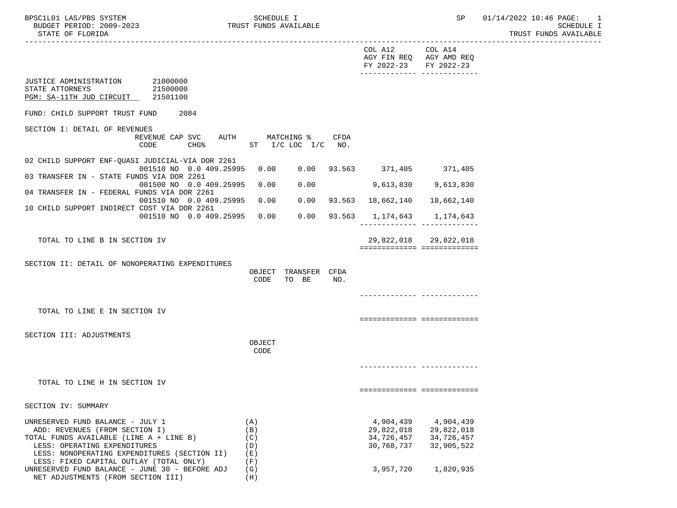NET ADJUSTMENTS (FROM SECTION III) (H)

 ----------------------------------------------------------------------------------------------------------------------------------- COL A12 COL A14 AGY FIN REQ AGY AMD REQ FY 2022-23 FY 2022-23 ------------- ------------- JUSTICE ADMINISTRATION STATE ATTORNEYS 21500000 PGM: SA-11TH JUD CIRCUIT 21501100 FUND: CHILD SUPPORT TRUST FUND 2084 SECTION I: DETAIL OF REVENUES REVENUE CAP SVC AUTH MATCHING % CFDA CODE CHG<sup>&</sup> ST I/C LOC I/C NO. 02 CHILD SUPPORT ENF-QUASI JUDICIAL-VIA DOR 2261 001510 NO 0.0 409.25995 0.00 0.00 93.563 371,405 371,405 03 TRANSFER IN - STATE FUNDS VIA DOR 2261 001500 NO 0.0 409.25995 0.00 0.00 9,613,830 9,613,830 04 TRANSFER IN - FEDERAL FUNDS VIA DOR 2261 001510 NO 0.0 409.25995 0.00 0.00 93.563 18,662,140 18,662,140 10 CHILD SUPPORT INDIRECT COST VIA DOR 2261 001510 NO 0.0 409.25995 0.00 0.00 93.563 1,174,643 1,174,643 ------------- ------------- TOTAL TO LINE B IN SECTION IV 29,822,018 29,822,018 ============= ============= SECTION II: DETAIL OF NONOPERATING EXPENDITURES OBJECT TRANSFER CFDA CODE TO BE NO. ------------- ------------- TOTAL TO LINE E IN SECTION IV =================================== SECTION III: ADJUSTMENTS **OBJECT CODE**  ------------- ------------- TOTAL TO LINE H IN SECTION IV ============= ============= SECTION IV: SUMMARY UNRESERVED FUND BALANCE - JULY 1 (A) (A) 4,904,439 4,904,439 4,904,439 4,904,439 4,904,439 4,904,439 (B) ADD: REVENUES (FROM SECTION I) (B) TOTAL FUNDS AVAILABLE (LINE A + LINE B)  $(C)$ <br>194,726,457 34,726,457 34,726,457 32,905,522 (D) 15SS: OPERATING EXPENDITURES LESS: OPERATING EXPENDITURES (D) 30,768,737 32,905,522 LESS: NONOPERATING EXPENDITURES (SECTION II) (E) LESS: FIXED CAPITAL OUTLAY (TOTAL ONLY) (F) UNRESERVED FUND BALANCE - JUNE 30 - BEFORE ADJ (G) 3,957,720 1,820,935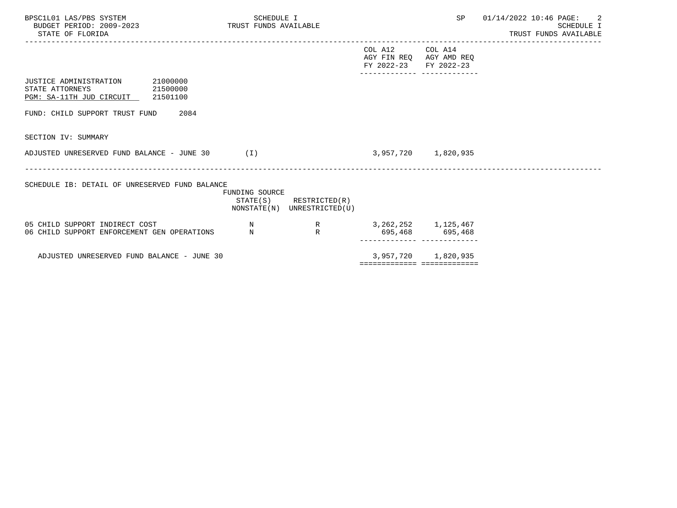| BPSC1L01 LAS/PBS SYSTEM<br>BUDGET PERIOD: 2009-2023<br>STATE OF FLORIDA                    |          | SCHEDULE I<br>TRUST FUNDS AVAILABLE |                                                            |                                                  | SP                                         | 01/14/2022 10:46 PAGE: 2<br>SCHEDULE I<br>TRUST FUNDS AVAILABLE |
|--------------------------------------------------------------------------------------------|----------|-------------------------------------|------------------------------------------------------------|--------------------------------------------------|--------------------------------------------|-----------------------------------------------------------------|
|                                                                                            |          |                                     |                                                            | COL A12<br>AGY FIN REO AGY AMD REO<br>FY 2022-23 | COL A14<br>FY 2022-23                      |                                                                 |
| JUSTICE ADMINISTRATION<br>21500000<br>STATE ATTORNEYS<br>PGM: SA-11TH JUD CIRCUIT 21501100 | 21000000 |                                     |                                                            |                                                  |                                            |                                                                 |
| FUND: CHILD SUPPORT TRUST FUND                                                             | 2084     |                                     |                                                            |                                                  |                                            |                                                                 |
| SECTION IV: SUMMARY                                                                        |          |                                     |                                                            |                                                  |                                            |                                                                 |
| ADJUSTED UNRESERVED FUND BALANCE - JUNE 30                                                 |          | (I)                                 |                                                            |                                                  | 3,957,720 1,820,935                        |                                                                 |
| SCHEDULE IB: DETAIL OF UNRESERVED FUND BALANCE                                             |          | <b>FUNDING SOURCE</b>               | $STATE(S)$ RESTRICTED $(R)$<br>NONSTATE(N) UNRESTRICTED(U) |                                                  |                                            |                                                                 |
| 05 CHILD SUPPORT INDIRECT COST<br>06 CHILD SUPPORT ENFORCEMENT GEN OPERATIONS              |          | N<br>N                              | R<br>$\mathbb{R}$                                          |                                                  | 3, 262, 252 1, 125, 467<br>695,468 695,468 |                                                                 |
| ADJUSTED UNRESERVED FUND BALANCE - JUNE 30                                                 |          |                                     |                                                            |                                                  | 3,957,720 1,820,935                        |                                                                 |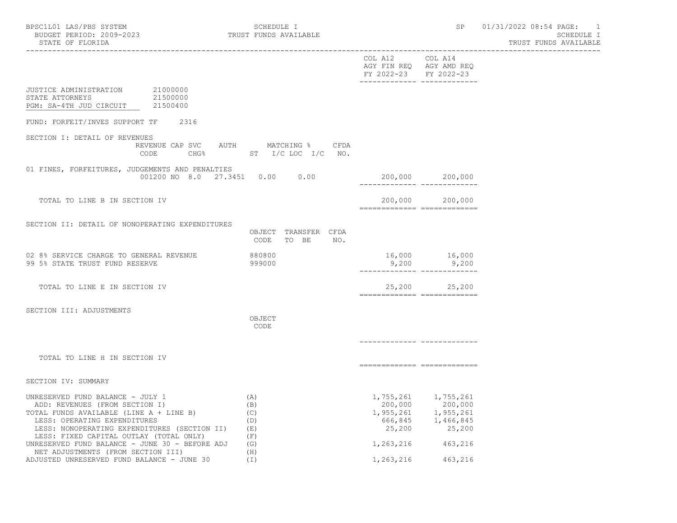|                                                                                                                                                                                                                                                                                                                                  |                                                                             | COL A12 COL A14<br>FY 2022-23 FY 2022-23 | AGY FIN REQ AGY AMD REQ                                                                                                                     |
|----------------------------------------------------------------------------------------------------------------------------------------------------------------------------------------------------------------------------------------------------------------------------------------------------------------------------------|-----------------------------------------------------------------------------|------------------------------------------|---------------------------------------------------------------------------------------------------------------------------------------------|
| JUSTICE ADMINISTRATION 21000000<br>STATE ATTORNEYS<br>21500000<br>PGM: SA-4TH JUD CIRCUIT 21500400                                                                                                                                                                                                                               |                                                                             |                                          |                                                                                                                                             |
| FUND: FORFEIT/INVES SUPPORT TF 2316                                                                                                                                                                                                                                                                                              |                                                                             |                                          |                                                                                                                                             |
| SECTION I: DETAIL OF REVENUES<br>CODE                                                                                                                                                                                                                                                                                            | REVENUE CAP SVC AUTH MATCHING % CFDA<br>CHG <sup>§</sup> ST I/C LOC I/C NO. |                                          |                                                                                                                                             |
| 01 FINES, FORFEITURES, JUDGEMENTS AND PENALTIES<br>001200 NO 8.0 27.3451 0.00 0.00                                                                                                                                                                                                                                               |                                                                             |                                          | 200,000 200,000                                                                                                                             |
| TOTAL TO LINE B IN SECTION IV                                                                                                                                                                                                                                                                                                    |                                                                             |                                          | 200,000 200,000<br>============================                                                                                             |
| SECTION II: DETAIL OF NONOPERATING EXPENDITURES                                                                                                                                                                                                                                                                                  | OBJECT TRANSFER CFDA<br>CODE<br>TO BE NO.                                   |                                          |                                                                                                                                             |
| 02 8% SERVICE CHARGE TO GENERAL REVENUE<br>99 5% STATE TRUST FUND RESERVE                                                                                                                                                                                                                                                        | 880800<br>999000                                                            |                                          | 16,000 16,000<br>$9,200$ $9,200$                                                                                                            |
| TOTAL TO LINE E IN SECTION IV                                                                                                                                                                                                                                                                                                    |                                                                             |                                          | 25,200 25,200<br>-------------- -------------                                                                                               |
| SECTION III: ADJUSTMENTS                                                                                                                                                                                                                                                                                                         | OBJECT<br>CODE                                                              |                                          |                                                                                                                                             |
| TOTAL TO LINE H IN SECTION IV                                                                                                                                                                                                                                                                                                    |                                                                             | ============================             |                                                                                                                                             |
| SECTION IV: SUMMARY                                                                                                                                                                                                                                                                                                              |                                                                             |                                          |                                                                                                                                             |
| UNRESERVED FUND BALANCE - JULY 1<br>ADD: REVENUES (FROM SECTION I)<br>TOTAL FUNDS AVAILABLE (LINE A + LINE B)<br>LESS: OPERATING EXPENDITURES<br>LESS: NONOPERATING EXPENDITURES (SECTION II)<br>LESS: FIXED CAPITAL OUTLAY (TOTAL ONLY)<br>UNRESERVED FUND BALANCE - JUNE 30 - BEFORE ADJ<br>NET ADJUSTMENTS (FROM SECTION III) | (A)<br>(B)<br>(C)<br>(D)<br>(E)<br>(F)<br>(G)<br>(H)                        |                                          | 1,755,261 1,755,261<br>$200,000$ $200,000$<br>$1,955,261$ $1,955,261$<br>$666,845$ $1,466,845$<br>$25,200$ $25,200$<br>1, 263, 216 463, 216 |
| ADJUSTED UNRESERVED FUND BALANCE - JUNE 30                                                                                                                                                                                                                                                                                       | (I)                                                                         | 1,263,216                                | 463,216                                                                                                                                     |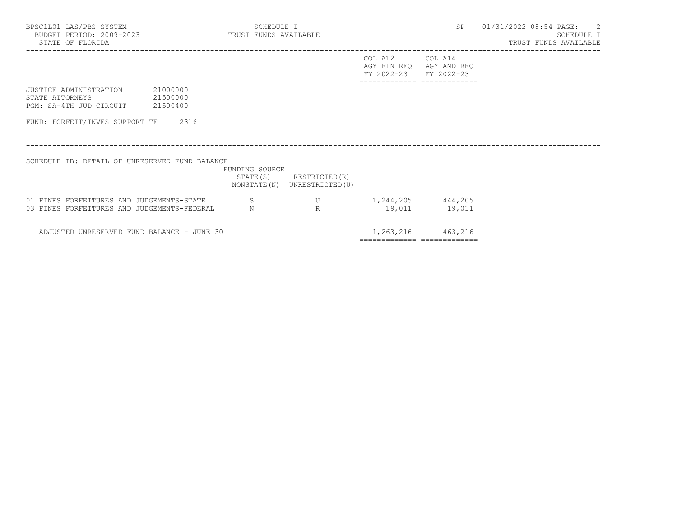| BPSC1L01 LAS/PBS SYSTEM<br>BUDGET PERIOD: 2009-2023<br>STATE OF FLORIDA                   |          | SCHEDULE I<br>TRUST FUNDS AVAILABLE |                                                           |                                                                     | SP                          | $01/31/2022$ 08:54 PAGE: 2<br>SCHEDULE I<br>TRUST FUNDS AVAILABLE |
|-------------------------------------------------------------------------------------------|----------|-------------------------------------|-----------------------------------------------------------|---------------------------------------------------------------------|-----------------------------|-------------------------------------------------------------------|
|                                                                                           |          |                                     |                                                           | COL A12 COL A14<br>AGY FIN REQ AGY AMD REQ<br>FY 2022-23 FY 2022-23 | ------------ -------------- |                                                                   |
| JUSTICE ADMINISTRATION<br>21500000<br>STATE ATTORNEYS<br>PGM: SA-4TH JUD CIRCUIT 21500400 | 21000000 |                                     |                                                           |                                                                     |                             |                                                                   |
| FUND: FORFEIT/INVES SUPPORT TF 2316                                                       |          |                                     |                                                           |                                                                     |                             |                                                                   |
| SCHEDULE IB: DETAIL OF UNRESERVED FUND BALANCE                                            |          | FUNDING SOURCE                      |                                                           |                                                                     |                             |                                                                   |
|                                                                                           |          |                                     | STATE (S) RESTRICTED (R)<br>NONSTATE (N) UNRESTRICTED (U) |                                                                     |                             |                                                                   |
| 01 FINES FORFEITURES AND JUDGEMENTS-STATE<br>03 FINES FORFEITURES AND JUDGEMENTS-FEDERAL  |          | S<br>N                              | U $1, 244, 205$ $444, 205$<br>R                           |                                                                     | 19,011 19,011               |                                                                   |
| ADJUSTED UNRESERVED FUND BALANCE - JUNE 30                                                |          |                                     |                                                           |                                                                     | 1, 263, 216 463, 216        |                                                                   |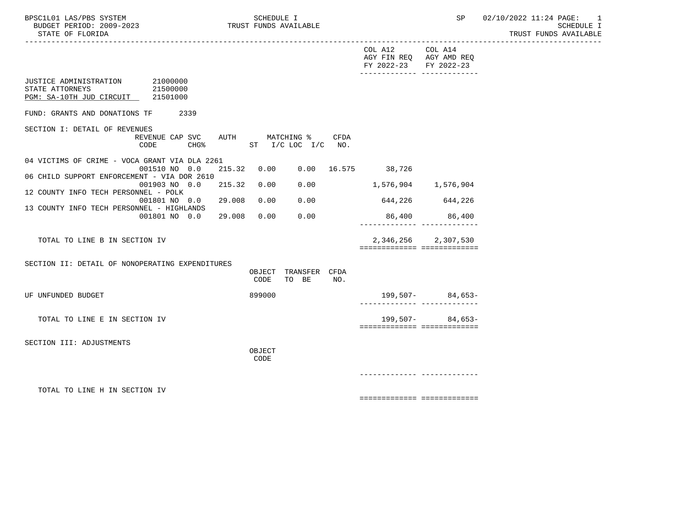|                                                                                         |                                         |        |        |                                     |      | COL A12 COL A14<br>AGY FIN REQ AGY AMD REQ<br>FY 2022-23 FY 2022-23<br>_________________________________ |                                                    |
|-----------------------------------------------------------------------------------------|-----------------------------------------|--------|--------|-------------------------------------|------|----------------------------------------------------------------------------------------------------------|----------------------------------------------------|
| JUSTICE ADMINISTRATION 21000000<br>STATE ATTORNEYS<br>PGM: SA-10TH JUD CIRCUIT 21501000 | 21500000                                |        |        |                                     |      |                                                                                                          |                                                    |
| FUND: GRANTS AND DONATIONS TF                                                           | 2339                                    |        |        |                                     |      |                                                                                                          |                                                    |
| SECTION I: DETAIL OF REVENUES                                                           | REVENUE CAP SVC AUTH MATCHING %<br>CODE |        |        | CHG <sup>*</sup> ST I/C LOC I/C NO. | CFDA |                                                                                                          |                                                    |
| 04 VICTIMS OF CRIME - VOCA GRANT VIA DLA 2261                                           | 001510 NO 0.0                           |        |        |                                     |      | 215.32  0.00  0.00  16.575  38,726                                                                       |                                                    |
| 06 CHILD SUPPORT ENFORCEMENT - VIA DOR 2610                                             | 001903 NO 0.0                           | 215.32 | 0.00   | 0.00                                |      | 1,576,904 1,576,904                                                                                      |                                                    |
| 12 COUNTY INFO TECH PERSONNEL - POLK                                                    | $001801$ NO 0.0 29.008                  |        |        |                                     |      |                                                                                                          |                                                    |
| 13 COUNTY INFO TECH PERSONNEL - HIGHLANDS                                               |                                         |        | 0.00   | 0.00                                |      | 644, 226 644, 226                                                                                        |                                                    |
|                                                                                         | 001801 NO 0.0                           | 29.008 | 0.00   | 0.00                                |      | -------------- --------------                                                                            | 86,400 86,400                                      |
| TOTAL TO LINE B IN SECTION IV                                                           |                                         |        |        |                                     |      | ============================                                                                             | 2,346,256 2,307,530                                |
| SECTION II: DETAIL OF NONOPERATING EXPENDITURES                                         |                                         |        |        |                                     |      |                                                                                                          |                                                    |
|                                                                                         |                                         |        | CODE   | OBJECT TRANSFER CFDA<br>TO BE       | NO.  |                                                                                                          |                                                    |
| UF UNFUNDED BUDGET                                                                      |                                         |        | 899000 |                                     |      |                                                                                                          | $199,507-$ 84,653-<br>------------- -------------- |
| TOTAL TO LINE E IN SECTION IV                                                           |                                         |        |        |                                     |      | ===========================                                                                              | $199,507-$ 84,653-                                 |
| SECTION III: ADJUSTMENTS                                                                |                                         |        | OBJECT |                                     |      |                                                                                                          |                                                    |
|                                                                                         |                                         |        | CODE   |                                     |      |                                                                                                          |                                                    |
|                                                                                         |                                         |        |        |                                     |      |                                                                                                          |                                                    |
| TOTAL TO LINE H IN SECTION IV                                                           |                                         |        |        |                                     |      | ===========================                                                                              |                                                    |
|                                                                                         |                                         |        |        |                                     |      |                                                                                                          |                                                    |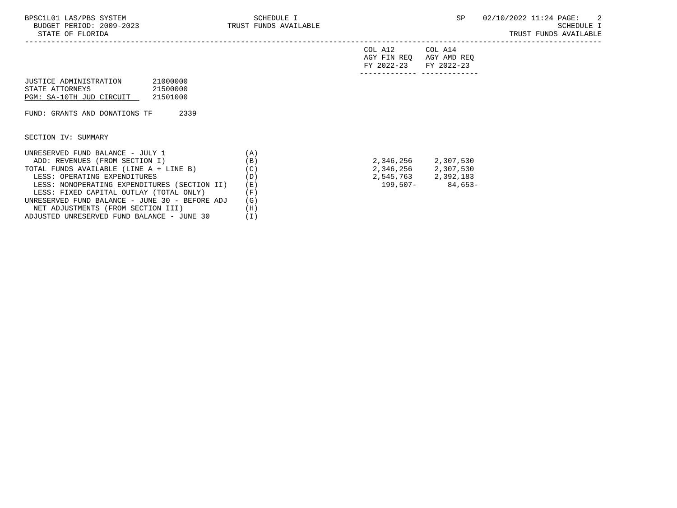-----------------------------------------------------------------------------------------------------------------------------------

| FY 2022-23 FY 2022-23 |                         |
|-----------------------|-------------------------|
|                       | AGY FIN REQ AGY AMD REQ |
| COL A12               | COL A14                 |

| JUSTICE ADMINISTRATION   | 21000000 |
|--------------------------|----------|
| STATE ATTORNEYS          | 21500000 |
| PGM: SA-10TH JUD CIRCUIT | 21501000 |

FUND: GRANTS AND DONATIONS TF 2339

SECTION IV: SUMMARY

| UNRESERVED FUND BALANCE - JULY 1               | $\mathbf{A}$ |           |           |
|------------------------------------------------|--------------|-----------|-----------|
| ADD: REVENUES (FROM SECTION I)                 | (B)          | 2,346,256 | 2,307,530 |
| TOTAL FUNDS AVAILABLE (LINE A + LINE B)        | (C)          | 2,346,256 | 2,307,530 |
| LESS: OPERATING EXPENDITURES                   | (D)          | 2,545,763 | 2,392,183 |
| LESS: NONOPERATING EXPENDITURES (SECTION II)   | (E)          | 199,507-  | 84,653-   |
| LESS: FIXED CAPITAL OUTLAY (TOTAL ONLY)        | $\vert$ F)   |           |           |
| UNRESERVED FUND BALANCE - JUNE 30 - BEFORE ADJ | (G)          |           |           |
| NET ADJUSTMENTS (FROM SECTION III)             | (H )         |           |           |
| ADJUSTED UNRESERVED FUND BALANCE - JUNE 30     |              |           |           |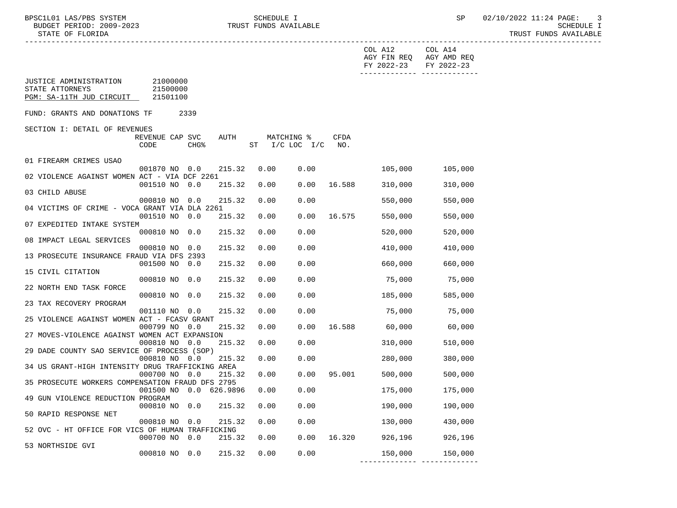|                                                                       |                                  |                  |        |      |                                  |        | COL A12<br>FY 2022-23 | COL A14<br>AGY FIN REQ AGY AMD REQ<br>FY 2022-23 |  |
|-----------------------------------------------------------------------|----------------------------------|------------------|--------|------|----------------------------------|--------|-----------------------|--------------------------------------------------|--|
| JUSTICE ADMINISTRATION<br>STATE ATTORNEYS<br>PGM: SA-11TH JUD CIRCUIT | 21000000<br>21500000<br>21501100 |                  |        |      |                                  |        |                       |                                                  |  |
| FUND: GRANTS AND DONATIONS TF                                         |                                  | 2339             |        |      |                                  |        |                       |                                                  |  |
| SECTION I: DETAIL OF REVENUES                                         |                                  |                  |        |      |                                  |        |                       |                                                  |  |
|                                                                       | REVENUE CAP SVC<br>CODE          | CHG <sup>8</sup> | AUTH   |      | MATCHING %<br>ST I/C LOC I/C NO. | CFDA   |                       |                                                  |  |
|                                                                       |                                  |                  |        |      |                                  |        |                       |                                                  |  |
| 01 FIREARM CRIMES USAO                                                | 001870 NO 0.0                    |                  | 215.32 | 0.00 | 0.00                             |        | 105,000               | 105,000                                          |  |
| 02 VIOLENCE AGAINST WOMEN ACT - VIA DCF 2261                          |                                  |                  |        |      |                                  |        |                       |                                                  |  |
|                                                                       | 001510 NO                        | 0.0              | 215.32 | 0.00 | 0.00                             | 16.588 | 310,000               | 310,000                                          |  |
| 03 CHILD ABUSE                                                        | 000810 NO 0.0                    |                  | 215.32 | 0.00 | 0.00                             |        | 550,000               | 550,000                                          |  |
| 04 VICTIMS OF CRIME - VOCA GRANT VIA DLA 2261                         |                                  |                  |        |      |                                  |        |                       |                                                  |  |
|                                                                       | 001510 NO 0.0                    |                  | 215.32 | 0.00 | 0.00                             | 16.575 | 550,000               | 550,000                                          |  |
| 07 EXPEDITED INTAKE SYSTEM                                            | 000810 NO 0.0                    |                  | 215.32 | 0.00 | 0.00                             |        | 520,000               | 520,000                                          |  |
| 08 IMPACT LEGAL SERVICES                                              |                                  |                  |        |      |                                  |        |                       |                                                  |  |
|                                                                       | 000810 NO 0.0                    |                  | 215.32 | 0.00 | 0.00                             |        | 410,000               | 410,000                                          |  |
| 13 PROSECUTE INSURANCE FRAUD VIA DFS 2393                             | 001500 NO 0.0                    |                  | 215.32 | 0.00 | 0.00                             |        | 660,000               | 660,000                                          |  |
| 15 CIVIL CITATION                                                     |                                  |                  |        |      |                                  |        |                       |                                                  |  |
| 22 NORTH END TASK FORCE                                               | 000810 NO 0.0                    |                  | 215.32 | 0.00 | 0.00                             |        | 75,000                | 75,000                                           |  |
|                                                                       | 000810 NO 0.0                    |                  | 215.32 | 0.00 | 0.00                             |        | 185,000               | 585,000                                          |  |
| 23 TAX RECOVERY PROGRAM                                               |                                  |                  |        |      |                                  |        |                       |                                                  |  |
|                                                                       | 001110 NO                        | 0.0              | 215.32 | 0.00 | 0.00                             |        | 75,000                | 75,000                                           |  |
| 25 VIOLENCE AGAINST WOMEN ACT - FCASV GRANT                           | 000799 NO                        | 0.0              | 215.32 | 0.00 | 0.00                             | 16.588 | 60,000                | 60,000                                           |  |
| 27 MOVES-VIOLENCE AGAINST WOMEN ACT EXPANSION                         |                                  |                  |        |      |                                  |        |                       |                                                  |  |
|                                                                       | 000810 NO 0.0                    |                  | 215.32 | 0.00 | 0.00                             |        | 310,000               | 510,000                                          |  |
| 29 DADE COUNTY SAO SERVICE OF PROCESS (SOP)                           | 000810 NO 0.0                    |                  | 215.32 | 0.00 | 0.00                             |        | 280,000               | 380,000                                          |  |
| 34 US GRANT-HIGH INTENSITY DRUG TRAFFICKING AREA                      |                                  |                  |        |      |                                  |        |                       |                                                  |  |
|                                                                       | 000700 NO 0.0                    |                  | 215.32 | 0.00 | 0.00                             | 95.001 | 500,000               | 500,000                                          |  |
| 35 PROSECUTE WORKERS COMPENSATION FRAUD DFS 2795                      | 001500 NO 0.0 626.9896           |                  |        | 0.00 | 0.00                             |        | 175,000               | 175,000                                          |  |
| 49 GUN VIOLENCE REDUCTION PROGRAM                                     |                                  |                  |        |      |                                  |        |                       |                                                  |  |
|                                                                       | 000810 NO 0.0                    |                  | 215.32 | 0.00 | 0.00                             |        | 190,000               | 190,000                                          |  |
| 50 RAPID RESPONSE NET                                                 | 000810 NO 0.0                    |                  | 215.32 | 0.00 | 0.00                             |        | 130,000               | 430,000                                          |  |
| 52 OVC - HT OFFICE FOR VICS OF HUMAN TRAFFICKING                      |                                  |                  |        |      |                                  |        |                       |                                                  |  |
|                                                                       | 000700 NO 0.0                    |                  | 215.32 | 0.00 | 0.00                             |        | 16.320 926,196        | 926,196                                          |  |
| 53 NORTHSIDE GVI                                                      | 000810 NO 0.0                    |                  | 215.32 | 0.00 | 0.00                             |        | 150,000               | 150,000                                          |  |
|                                                                       |                                  |                  |        |      |                                  |        |                       |                                                  |  |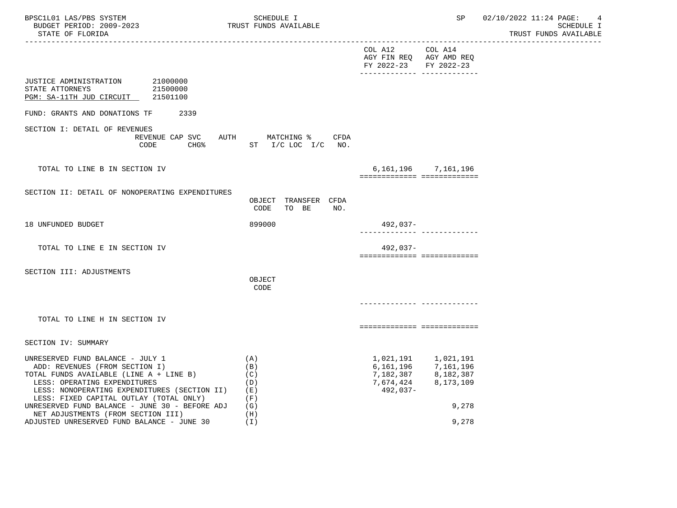| BPSC1L01 LAS/PBS SYSTEM<br>BUDGET PERIOD: 2009-2023<br>STATE OF FLORIDA                                                                                                                                                                  | SCHEDULE I<br>TRUST FUNDS AVAILABLE                                             |                                                                                                         | SP                                                                                     | 02/10/2022 11:24 PAGE:<br>$\overline{4}$<br>SCHEDULE I<br>TRUST FUNDS AVAILABLE |
|------------------------------------------------------------------------------------------------------------------------------------------------------------------------------------------------------------------------------------------|---------------------------------------------------------------------------------|---------------------------------------------------------------------------------------------------------|----------------------------------------------------------------------------------------|---------------------------------------------------------------------------------|
|                                                                                                                                                                                                                                          |                                                                                 | COL A12 COL A14<br>AGY FIN REQ AGY AMD REQ<br>FY 2022-23 FY 2022-23<br>________________________________ |                                                                                        |                                                                                 |
| JUSTICE ADMINISTRATION 21000000<br>STATE ATTORNEYS<br>21500000<br>PGM: SA-11TH JUD CIRCUIT 21501100                                                                                                                                      |                                                                                 |                                                                                                         |                                                                                        |                                                                                 |
| FUND: GRANTS AND DONATIONS TF 2339                                                                                                                                                                                                       |                                                                                 |                                                                                                         |                                                                                        |                                                                                 |
| SECTION I: DETAIL OF REVENUES<br>CODE                                                                                                                                                                                                    | REVENUE CAP SVC AUTH MATCHING % CFDA<br>CHG <sup>&amp;</sup> ST I/C LOC I/C NO. |                                                                                                         |                                                                                        |                                                                                 |
| TOTAL TO LINE B IN SECTION IV                                                                                                                                                                                                            |                                                                                 | ===========================                                                                             | 6, 161, 196 7, 161, 196                                                                |                                                                                 |
| SECTION II: DETAIL OF NONOPERATING EXPENDITURES                                                                                                                                                                                          | OBJECT TRANSFER CFDA<br>CODE<br>TO BE NO.                                       |                                                                                                         |                                                                                        |                                                                                 |
| 18 UNFUNDED BUDGET                                                                                                                                                                                                                       | 899000                                                                          | 492,037-                                                                                                | ----------- --------------                                                             |                                                                                 |
| TOTAL TO LINE E IN SECTION IV                                                                                                                                                                                                            |                                                                                 | 492,037-<br>===========================                                                                 |                                                                                        |                                                                                 |
| SECTION III: ADJUSTMENTS                                                                                                                                                                                                                 | OBJECT<br>CODE                                                                  |                                                                                                         |                                                                                        |                                                                                 |
| TOTAL TO LINE H IN SECTION IV                                                                                                                                                                                                            |                                                                                 | ===========================                                                                             |                                                                                        |                                                                                 |
| SECTION IV: SUMMARY                                                                                                                                                                                                                      |                                                                                 |                                                                                                         |                                                                                        |                                                                                 |
| UNRESERVED FUND BALANCE - JULY 1<br>ADD: REVENUES (FROM SECTION I)<br>TOTAL FUNDS AVAILABLE (LINE A + LINE B)<br>LESS: OPERATING EXPENDITURES<br>LESS: NONOPERATING EXPENDITURES (SECTION II)<br>LESS: FIXED CAPITAL OUTLAY (TOTAL ONLY) | (A)<br>(B)<br>(C)<br>(D)<br>( E )<br>(F)                                        | 7,674,424<br>492,037-                                                                                   | 1,021,191 1,021,191<br>6, 161, 196 7, 161, 196<br>7, 182, 387 8, 182, 387<br>8,173,109 |                                                                                 |
| UNRESERVED FUND BALANCE - JUNE 30 - BEFORE ADJ<br>NET ADJUSTMENTS (FROM SECTION III)<br>ADJUSTED UNRESERVED FUND BALANCE - JUNE 30                                                                                                       | (G)<br>(H)<br>(T)                                                               |                                                                                                         | 9,278<br>9,278                                                                         |                                                                                 |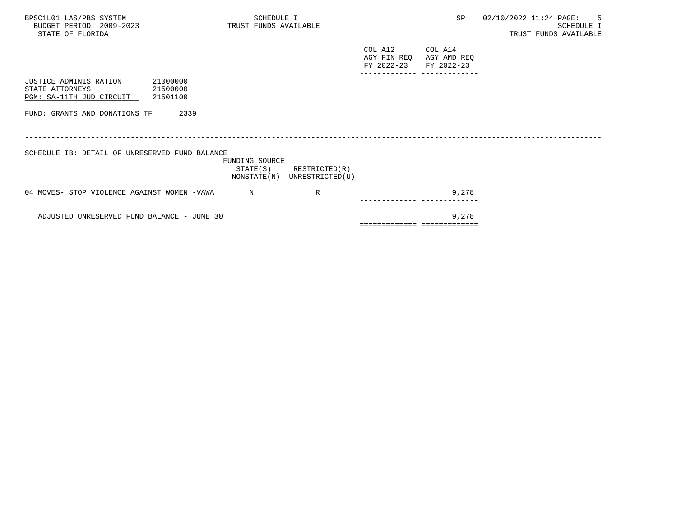| BPSC1L01 LAS/PBS SYSTEM<br>BUDGET PERIOD: 2009-2023 TRUST FUNDS AVAILABLE<br>STATE OF FLORIDA |          | SCHEDULE I     |                                                            |                                                             |         | SP 02/10/2022 11:24 PAGE: 5 | SCHEDULE I<br>TRUST FUNDS AVAILABLE |
|-----------------------------------------------------------------------------------------------|----------|----------------|------------------------------------------------------------|-------------------------------------------------------------|---------|-----------------------------|-------------------------------------|
|                                                                                               |          |                |                                                            | COL A12<br>AGY FIN REQ AGY AMD REQ<br>FY 2022-23 FY 2022-23 | COL A14 |                             |                                     |
| JUSTICE ADMINISTRATION<br>STATE ATTORNEYS<br>21500000<br>PGM: SA-11TH JUD CIRCUIT 21501100    | 21000000 |                |                                                            |                                                             |         |                             |                                     |
| FUND: GRANTS AND DONATIONS TF                                                                 | 2339     |                |                                                            |                                                             |         |                             |                                     |
| SCHEDULE IB: DETAIL OF UNRESERVED FUND BALANCE                                                |          | FUNDING SOURCE | $STATE(S)$ RESTRICTED $(R)$<br>NONSTATE(N) UNRESTRICTED(U) |                                                             |         |                             |                                     |
| 04 MOVES- STOP VIOLENCE AGAINST WOMEN -VAWA                                                   |          | $\mathbf N$    | R                                                          |                                                             | 9,278   |                             |                                     |
| ADJUSTED UNRESERVED FUND BALANCE - JUNE 30                                                    |          |                |                                                            | ===========================                                 | 9,278   |                             |                                     |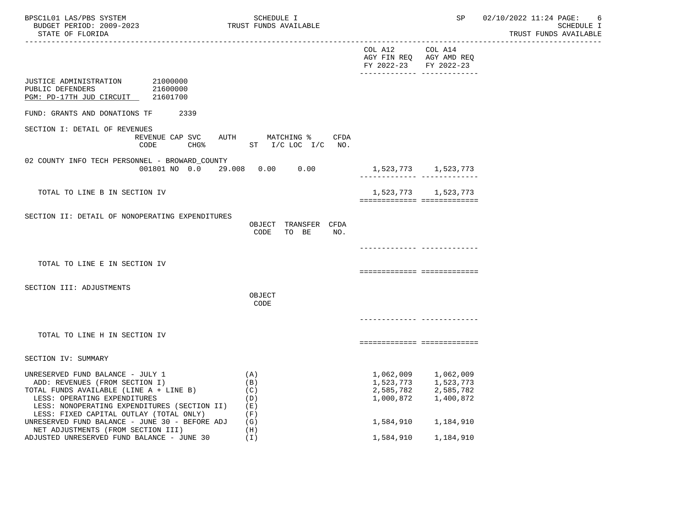| BPSC1L01 LAS/PBS SYSTEM<br>BUDGET PERIOD: 2009-2023<br>STATE OF FLORIDA                                                                                                                                                                  | SCHEDULE I<br>TRUST FUNDS AVAILABLE                                |                                                                                                     | SP                                                                   | 02/10/2022 11:24 PAGE:<br>6<br><b>SCHEDULE I</b><br>TRUST FUNDS AVAILABLE |
|------------------------------------------------------------------------------------------------------------------------------------------------------------------------------------------------------------------------------------------|--------------------------------------------------------------------|-----------------------------------------------------------------------------------------------------|----------------------------------------------------------------------|---------------------------------------------------------------------------|
|                                                                                                                                                                                                                                          |                                                                    | COL A12 COL A14<br>AGY FIN REQ AGY AMD REQ<br>FY 2022-23 FY 2022-23<br>-------------- ------------- |                                                                      |                                                                           |
| JUSTICE ADMINISTRATION 21000000<br>PUBLIC DEFENDERS<br>21600000<br>PGM: PD-17TH JUD CIRCUIT 21601700                                                                                                                                     |                                                                    |                                                                                                     |                                                                      |                                                                           |
| FUND: GRANTS AND DONATIONS TF<br>2339                                                                                                                                                                                                    |                                                                    |                                                                                                     |                                                                      |                                                                           |
| SECTION I: DETAIL OF REVENUES<br>CODE                                                                                                                                                                                                    | REVENUE CAP SVC AUTH MATCHING %<br>CFDA<br>CHG% ST I/C LOC I/C NO. |                                                                                                     |                                                                      |                                                                           |
| 02 COUNTY INFO TECH PERSONNEL - BROWARD_COUNTY                                                                                                                                                                                           | $0.01801$ NO $0.0$ 29.008 0.00 0.00                                | 1,523,773 1,523,773                                                                                 | ---------- --------------                                            |                                                                           |
| TOTAL TO LINE B IN SECTION IV                                                                                                                                                                                                            |                                                                    | ============================                                                                        | 1,523,773 1,523,773                                                  |                                                                           |
| SECTION II: DETAIL OF NONOPERATING EXPENDITURES                                                                                                                                                                                          | OBJECT TRANSFER CFDA<br>CODE<br>TO BE<br>NO.                       |                                                                                                     |                                                                      |                                                                           |
| TOTAL TO LINE E IN SECTION IV                                                                                                                                                                                                            |                                                                    |                                                                                                     |                                                                      |                                                                           |
|                                                                                                                                                                                                                                          |                                                                    | ===========================                                                                         |                                                                      |                                                                           |
| SECTION III: ADJUSTMENTS                                                                                                                                                                                                                 | OBJECT<br>CODE                                                     |                                                                                                     |                                                                      |                                                                           |
|                                                                                                                                                                                                                                          |                                                                    |                                                                                                     |                                                                      |                                                                           |
| TOTAL TO LINE H IN SECTION IV                                                                                                                                                                                                            |                                                                    | ===========================                                                                         |                                                                      |                                                                           |
| SECTION IV: SUMMARY                                                                                                                                                                                                                      |                                                                    |                                                                                                     |                                                                      |                                                                           |
| UNRESERVED FUND BALANCE - JULY 1<br>ADD: REVENUES (FROM SECTION I)<br>TOTAL FUNDS AVAILABLE (LINE A + LINE B)<br>LESS: OPERATING EXPENDITURES<br>LESS: NONOPERATING EXPENDITURES (SECTION II)<br>LESS: FIXED CAPITAL OUTLAY (TOTAL ONLY) | (A)<br>(B)<br>(C)<br>(D)<br>( E )<br>(F)                           | 2,585,782<br>1,000,872                                                                              | 1,062,009 1,062,009<br>1,523,773 1,523,773<br>2,585,782<br>1,400,872 |                                                                           |
| UNRESERVED FUND BALANCE - JUNE 30 - BEFORE ADJ<br>NET ADJUSTMENTS (FROM SECTION III)                                                                                                                                                     | (G)<br>(H)                                                         |                                                                                                     | 1,584,910 1,184,910                                                  |                                                                           |
| ADJUSTED UNRESERVED FUND BALANCE - JUNE 30                                                                                                                                                                                               | (T)                                                                | 1,584,910                                                                                           | 1,184,910                                                            |                                                                           |